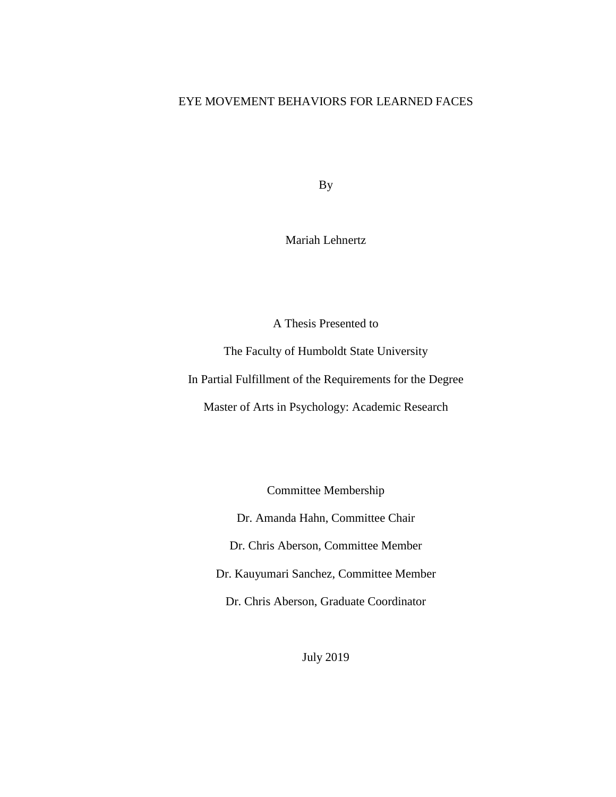# EYE MOVEMENT BEHAVIORS FOR LEARNED FACES

By

Mariah Lehnertz

A Thesis Presented to

The Faculty of Humboldt State University

In Partial Fulfillment of the Requirements for the Degree

Master of Arts in Psychology: Academic Research

Committee Membership

Dr. Amanda Hahn, Committee Chair

Dr. Chris Aberson, Committee Member

Dr. Kauyumari Sanchez, Committee Member

Dr. Chris Aberson, Graduate Coordinator

July 2019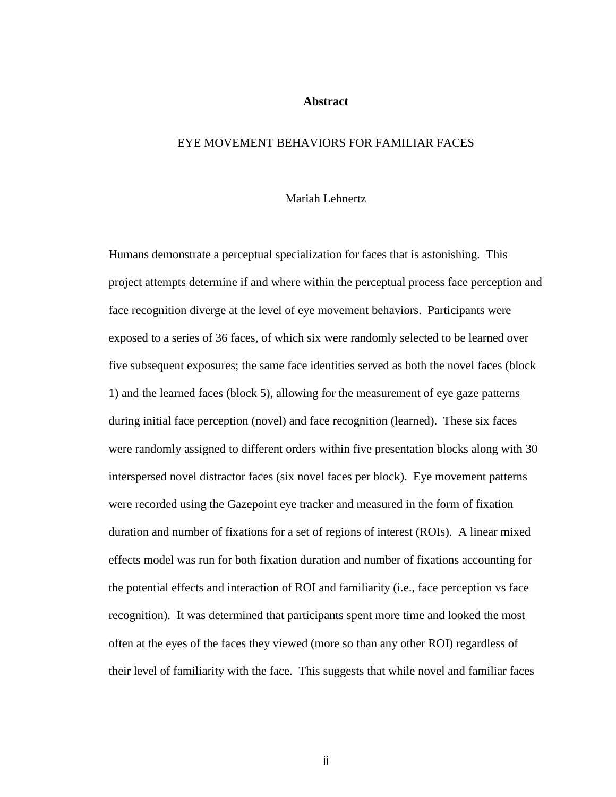#### **Abstract**

### <span id="page-1-0"></span>EYE MOVEMENT BEHAVIORS FOR FAMILIAR FACES

# Mariah Lehnertz

Humans demonstrate a perceptual specialization for faces that is astonishing. This project attempts determine if and where within the perceptual process face perception and face recognition diverge at the level of eye movement behaviors. Participants were exposed to a series of 36 faces, of which six were randomly selected to be learned over five subsequent exposures; the same face identities served as both the novel faces (block 1) and the learned faces (block 5), allowing for the measurement of eye gaze patterns during initial face perception (novel) and face recognition (learned). These six faces were randomly assigned to different orders within five presentation blocks along with 30 interspersed novel distractor faces (six novel faces per block). Eye movement patterns were recorded using the Gazepoint eye tracker and measured in the form of fixation duration and number of fixations for a set of regions of interest (ROIs). A linear mixed effects model was run for both fixation duration and number of fixations accounting for the potential effects and interaction of ROI and familiarity (i.e., face perception vs face recognition). It was determined that participants spent more time and looked the most often at the eyes of the faces they viewed (more so than any other ROI) regardless of their level of familiarity with the face. This suggests that while novel and familiar faces

ii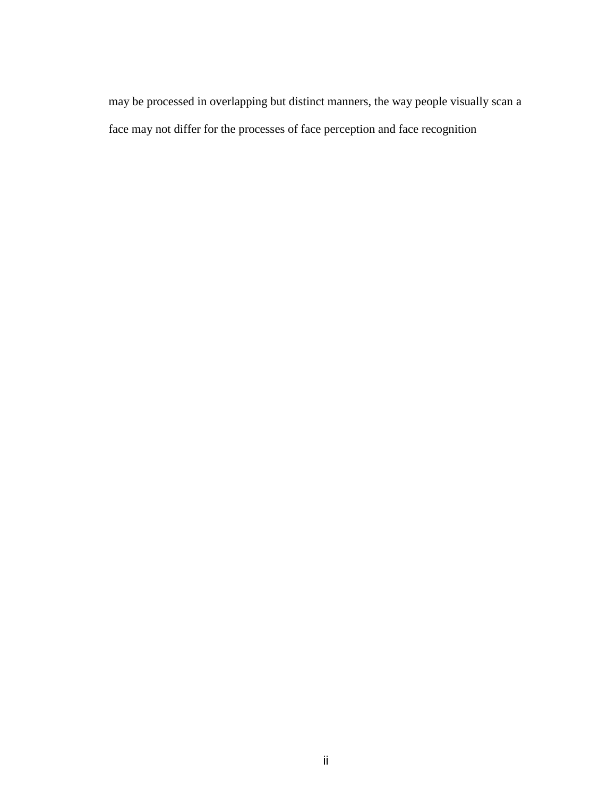may be processed in overlapping but distinct manners, the way people visually scan a face may not differ for the processes of face perception and face recognition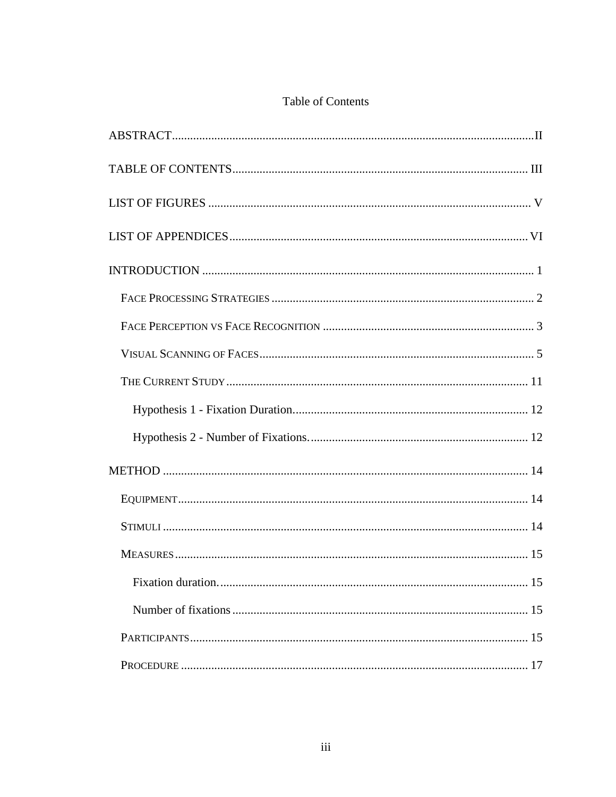# Table of Contents

<span id="page-3-0"></span>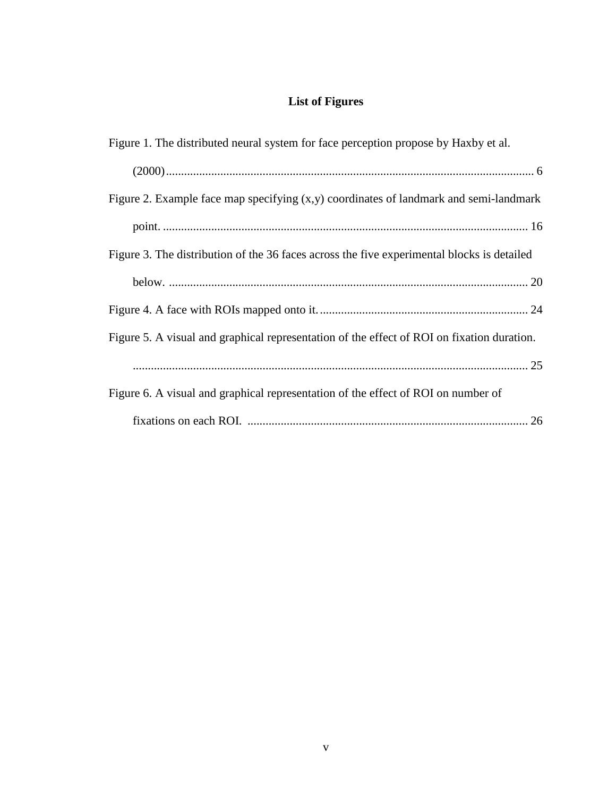# **List of Figures**

<span id="page-5-0"></span>

| Figure 1. The distributed neural system for face perception propose by Haxby et al.        |
|--------------------------------------------------------------------------------------------|
|                                                                                            |
| Figure 2. Example face map specifying $(x,y)$ coordinates of landmark and semi-landmark    |
|                                                                                            |
| Figure 3. The distribution of the 36 faces across the five experimental blocks is detailed |
|                                                                                            |
|                                                                                            |
| Figure 5. A visual and graphical representation of the effect of ROI on fixation duration. |
|                                                                                            |
| Figure 6. A visual and graphical representation of the effect of ROI on number of          |
|                                                                                            |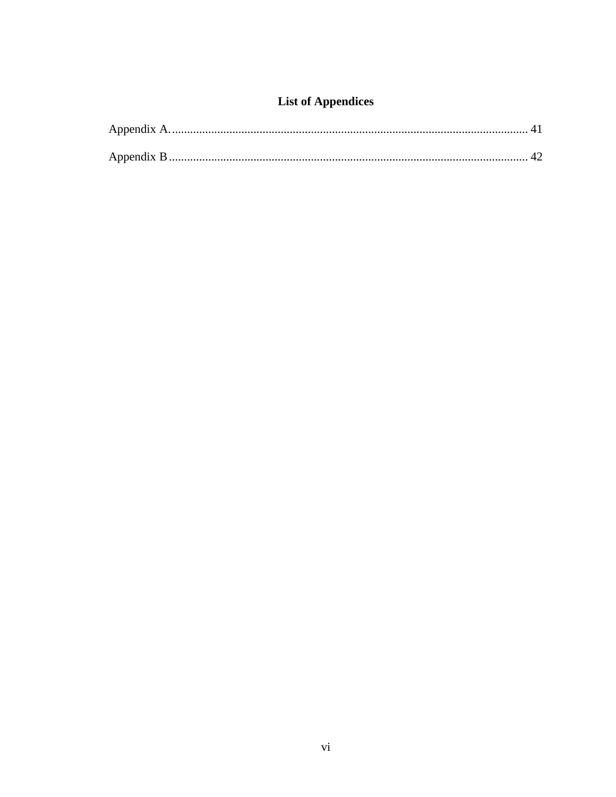# **List of Appendices**

<span id="page-6-0"></span>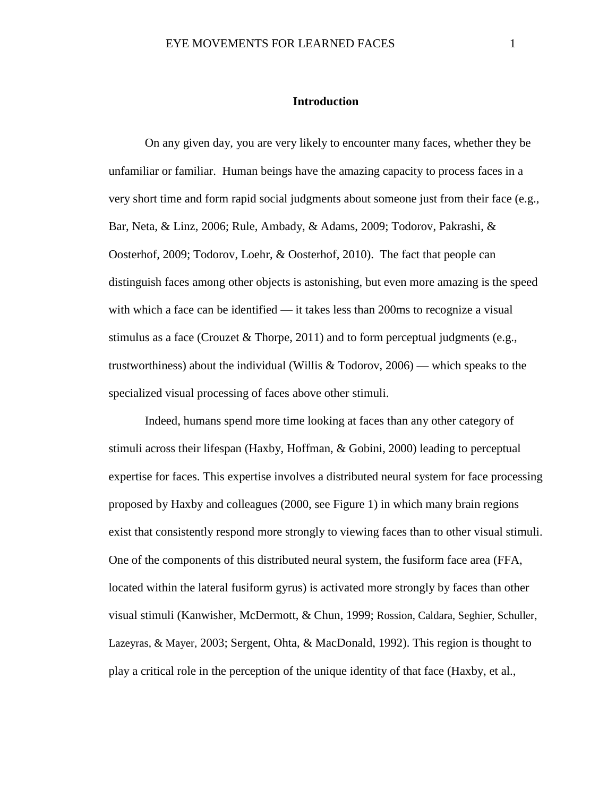## **Introduction**

<span id="page-7-0"></span>On any given day, you are very likely to encounter many faces, whether they be unfamiliar or familiar. Human beings have the amazing capacity to process faces in a very short time and form rapid social judgments about someone just from their face (e.g., Bar, Neta, & Linz, 2006; Rule, Ambady, & Adams, 2009; Todorov, Pakrashi, & Oosterhof, 2009; Todorov, Loehr, & Oosterhof, 2010). The fact that people can distinguish faces among other objects is astonishing, but even more amazing is the speed with which a face can be identified — it takes less than 200ms to recognize a visual stimulus as a face (Crouzet & Thorpe, 2011) and to form perceptual judgments (e.g., trustworthiness) about the individual (Willis & Todorov, 2006) — which speaks to the specialized visual processing of faces above other stimuli.

Indeed, humans spend more time looking at faces than any other category of stimuli across their lifespan (Haxby, Hoffman, & Gobini, 2000) leading to perceptual expertise for faces. This expertise involves a distributed neural system for face processing proposed by Haxby and colleagues (2000, see Figure 1) in which many brain regions exist that consistently respond more strongly to viewing faces than to other visual stimuli. One of the components of this distributed neural system, the fusiform face area (FFA, located within the lateral fusiform gyrus) is activated more strongly by faces than other visual stimuli (Kanwisher, McDermott, & Chun, 1999; Rossion, Caldara, Seghier, Schuller, Lazeyras, & Mayer, 2003; Sergent, Ohta, & MacDonald, 1992). This region is thought to play a critical role in the perception of the unique identity of that face (Haxby, et al.,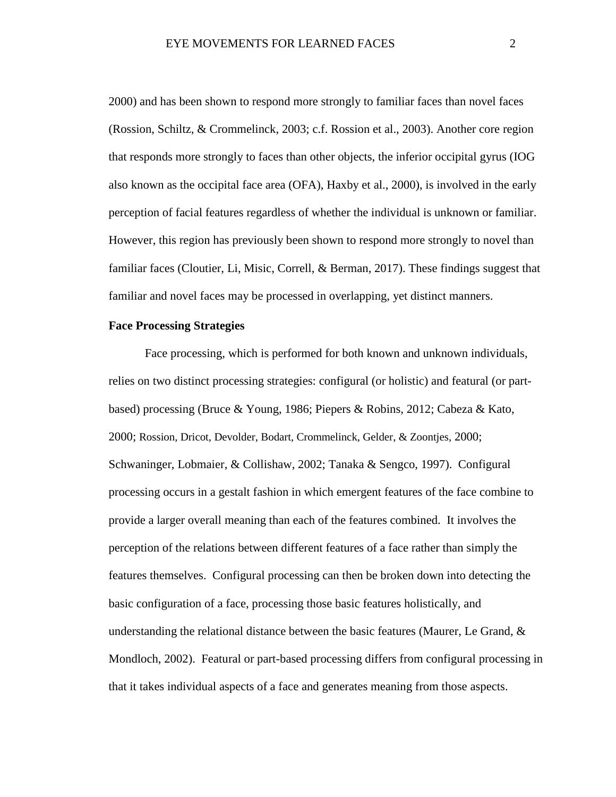2000) and has been shown to respond more strongly to familiar faces than novel faces (Rossion, Schiltz, & Crommelinck, 2003; c.f. Rossion et al., 2003). Another core region that responds more strongly to faces than other objects, the inferior occipital gyrus (IOG also known as the occipital face area (OFA), Haxby et al., 2000), is involved in the early perception of facial features regardless of whether the individual is unknown or familiar. However, this region has previously been shown to respond more strongly to novel than familiar faces (Cloutier, Li, Misic, Correll, & Berman, 2017). These findings suggest that familiar and novel faces may be processed in overlapping, yet distinct manners.

### <span id="page-8-0"></span>**Face Processing Strategies**

Face processing, which is performed for both known and unknown individuals, relies on two distinct processing strategies: configural (or holistic) and featural (or partbased) processing (Bruce & Young, 1986; Piepers & Robins, 2012; Cabeza & Kato, 2000; Rossion, Dricot, Devolder, Bodart, Crommelinck, Gelder, & Zoontjes, 2000; Schwaninger, Lobmaier, & Collishaw, 2002; Tanaka & Sengco, 1997). Configural processing occurs in a gestalt fashion in which emergent features of the face combine to provide a larger overall meaning than each of the features combined. It involves the perception of the relations between different features of a face rather than simply the features themselves. Configural processing can then be broken down into detecting the basic configuration of a face, processing those basic features holistically, and understanding the relational distance between the basic features (Maurer, Le Grand,  $\&$ Mondloch, 2002). Featural or part-based processing differs from configural processing in that it takes individual aspects of a face and generates meaning from those aspects.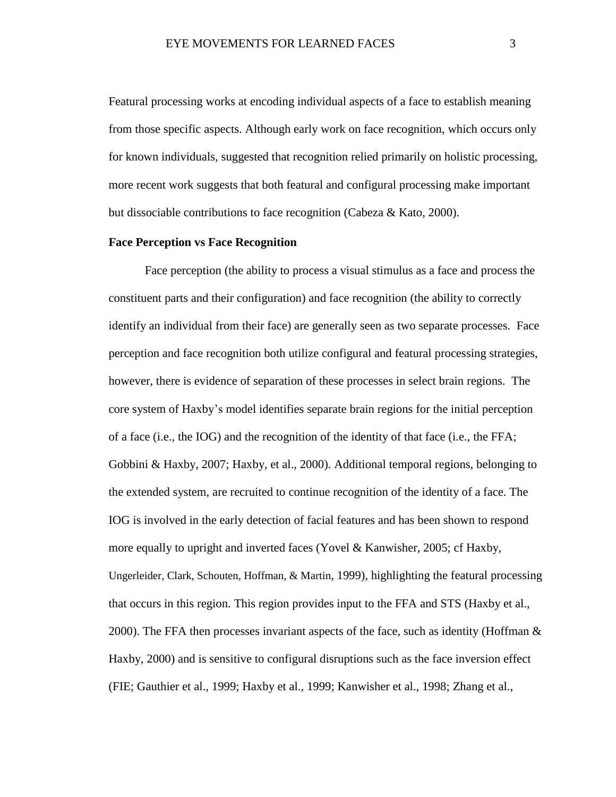Featural processing works at encoding individual aspects of a face to establish meaning from those specific aspects. Although early work on face recognition, which occurs only for known individuals, suggested that recognition relied primarily on holistic processing, more recent work suggests that both featural and configural processing make important but dissociable contributions to face recognition (Cabeza & Kato, 2000).

### <span id="page-9-0"></span>**Face Perception vs Face Recognition**

Face perception (the ability to process a visual stimulus as a face and process the constituent parts and their configuration) and face recognition (the ability to correctly identify an individual from their face) are generally seen as two separate processes. Face perception and face recognition both utilize configural and featural processing strategies, however, there is evidence of separation of these processes in select brain regions. The core system of Haxby's model identifies separate brain regions for the initial perception of a face (i.e., the IOG) and the recognition of the identity of that face (i.e., the FFA; Gobbini & Haxby, 2007; Haxby, et al., 2000). Additional temporal regions, belonging to the extended system, are recruited to continue recognition of the identity of a face. The IOG is involved in the early detection of facial features and has been shown to respond more equally to upright and inverted faces (Yovel & Kanwisher, 2005; cf Haxby, Ungerleider, Clark, Schouten, Hoffman, & Martin, 1999), highlighting the featural processing that occurs in this region. This region provides input to the FFA and STS (Haxby et al., 2000). The FFA then processes invariant aspects of the face, such as identity (Hoffman  $\&$ Haxby, 2000) and is sensitive to configural disruptions such as the face inversion effect (FIE; Gauthier et al., 1999; Haxby et al., 1999; Kanwisher et al., 1998; Zhang et al.,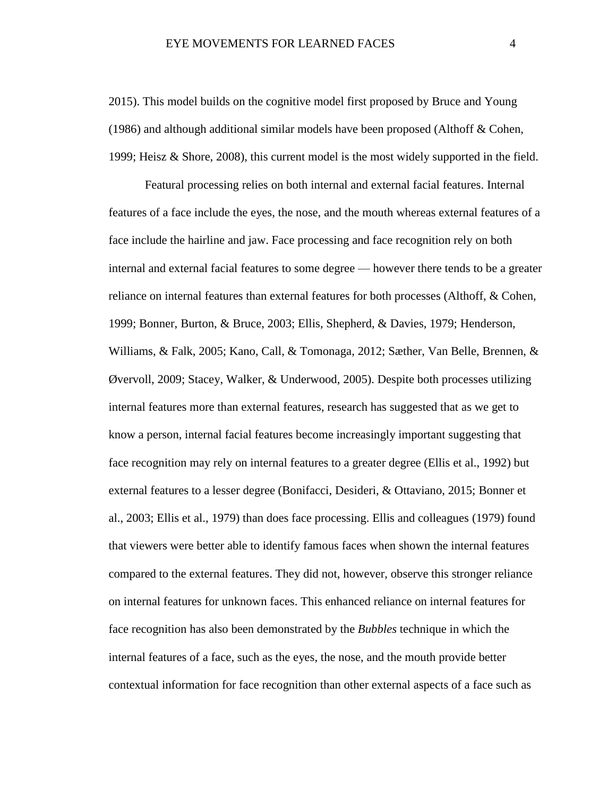2015). This model builds on the cognitive model first proposed by Bruce and Young (1986) and although additional similar models have been proposed (Althoff  $\&$  Cohen, 1999; Heisz & Shore, 2008), this current model is the most widely supported in the field.

Featural processing relies on both internal and external facial features. Internal features of a face include the eyes, the nose, and the mouth whereas external features of a face include the hairline and jaw. Face processing and face recognition rely on both internal and external facial features to some degree — however there tends to be a greater reliance on internal features than external features for both processes (Althoff, & Cohen, 1999; Bonner, Burton, & Bruce, 2003; Ellis, Shepherd, & Davies, 1979; Henderson, Williams, & Falk, 2005; Kano, Call, & Tomonaga, 2012; Sæther, Van Belle, Brennen, & Øvervoll, 2009; Stacey, Walker, & Underwood, 2005). Despite both processes utilizing internal features more than external features, research has suggested that as we get to know a person, internal facial features become increasingly important suggesting that face recognition may rely on internal features to a greater degree (Ellis et al., 1992) but external features to a lesser degree (Bonifacci, Desideri, & Ottaviano, 2015; Bonner et al., 2003; Ellis et al., 1979) than does face processing. Ellis and colleagues (1979) found that viewers were better able to identify famous faces when shown the internal features compared to the external features. They did not, however, observe this stronger reliance on internal features for unknown faces. This enhanced reliance on internal features for face recognition has also been demonstrated by the *Bubbles* technique in which the internal features of a face, such as the eyes, the nose, and the mouth provide better contextual information for face recognition than other external aspects of a face such as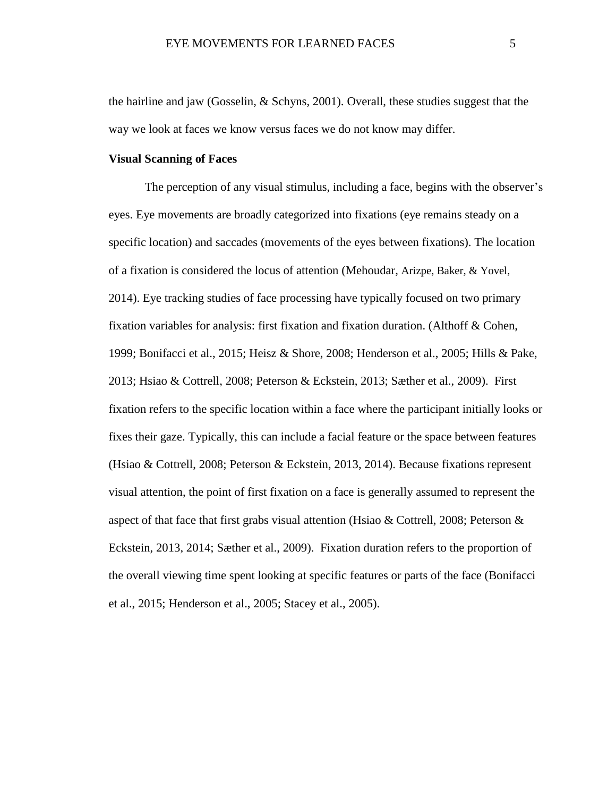the hairline and jaw (Gosselin, & Schyns, 2001). Overall, these studies suggest that the way we look at faces we know versus faces we do not know may differ.

#### <span id="page-11-0"></span>**Visual Scanning of Faces**

The perception of any visual stimulus, including a face, begins with the observer's eyes. Eye movements are broadly categorized into fixations (eye remains steady on a specific location) and saccades (movements of the eyes between fixations). The location of a fixation is considered the locus of attention (Mehoudar, Arizpe, Baker, & Yovel, 2014). Eye tracking studies of face processing have typically focused on two primary fixation variables for analysis: first fixation and fixation duration. (Althoff & Cohen, 1999; Bonifacci et al., 2015; Heisz & Shore, 2008; Henderson et al., 2005; Hills & Pake, 2013; Hsiao & Cottrell, 2008; Peterson & Eckstein, 2013; Sæther et al., 2009). First fixation refers to the specific location within a face where the participant initially looks or fixes their gaze. Typically, this can include a facial feature or the space between features (Hsiao & Cottrell, 2008; Peterson & Eckstein, 2013, 2014). Because fixations represent visual attention, the point of first fixation on a face is generally assumed to represent the aspect of that face that first grabs visual attention (Hsiao & Cottrell, 2008; Peterson & Eckstein, 2013, 2014; Sæther et al., 2009). Fixation duration refers to the proportion of the overall viewing time spent looking at specific features or parts of the face (Bonifacci et al., 2015; Henderson et al., 2005; Stacey et al., 2005).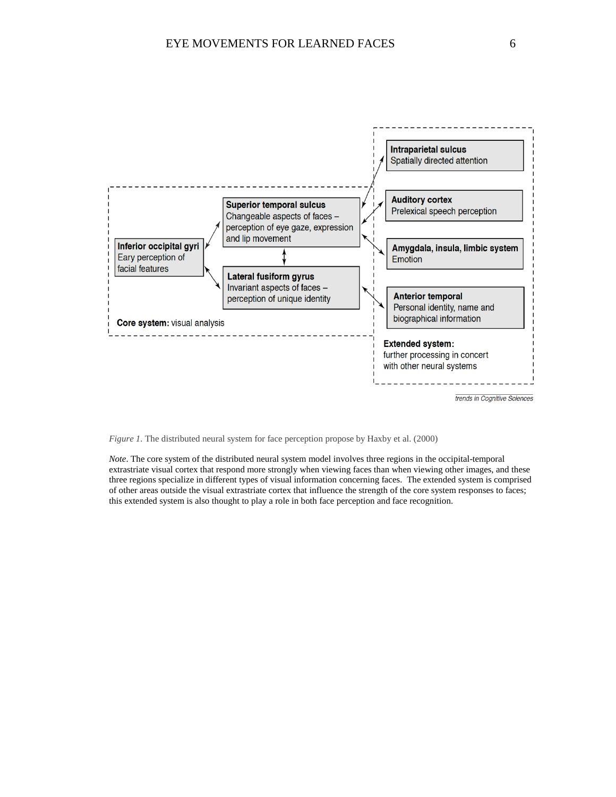

*Figure 1.* The distributed neural system for face perception propose by Haxby et al. (2000)

*Note*. The core system of the distributed neural system model involves three regions in the occipital-temporal extrastriate visual cortex that respond more strongly when viewing faces than when viewing other images, and these three regions specialize in different types of visual information concerning faces. The extended system is comprised of other areas outside the visual extrastriate cortex that influence the strength of the core system responses to faces; this extended system is also thought to play a role in both face perception and face recognition.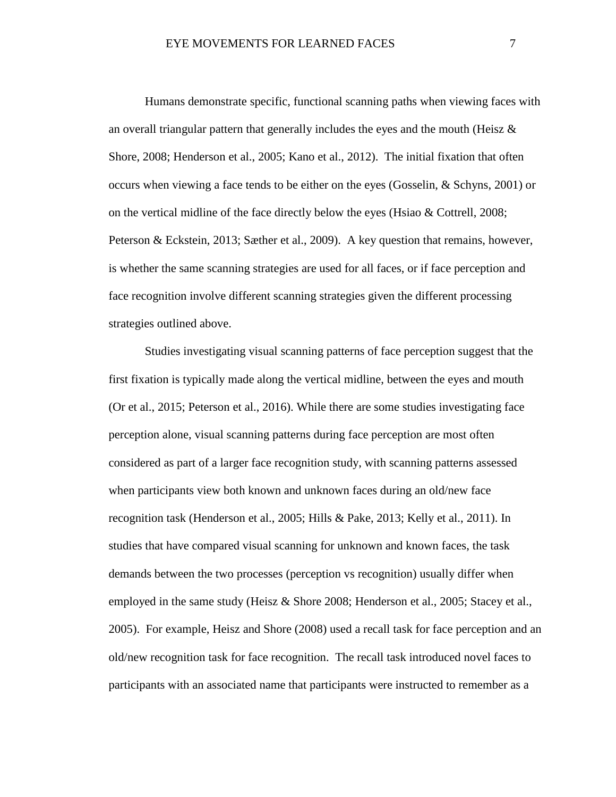Humans demonstrate specific, functional scanning paths when viewing faces with an overall triangular pattern that generally includes the eyes and the mouth (Heisz  $\&$ Shore, 2008; Henderson et al., 2005; Kano et al., 2012). The initial fixation that often occurs when viewing a face tends to be either on the eyes (Gosselin, & Schyns, 2001) or on the vertical midline of the face directly below the eyes (Hsiao & Cottrell, 2008; Peterson & Eckstein, 2013; Sæther et al., 2009). A key question that remains, however, is whether the same scanning strategies are used for all faces, or if face perception and face recognition involve different scanning strategies given the different processing strategies outlined above.

Studies investigating visual scanning patterns of face perception suggest that the first fixation is typically made along the vertical midline, between the eyes and mouth (Or et al., 2015; Peterson et al., 2016). While there are some studies investigating face perception alone, visual scanning patterns during face perception are most often considered as part of a larger face recognition study, with scanning patterns assessed when participants view both known and unknown faces during an old/new face recognition task (Henderson et al., 2005; Hills & Pake, 2013; Kelly et al., 2011). In studies that have compared visual scanning for unknown and known faces, the task demands between the two processes (perception vs recognition) usually differ when employed in the same study (Heisz & Shore 2008; Henderson et al., 2005; Stacey et al., 2005). For example, Heisz and Shore (2008) used a recall task for face perception and an old/new recognition task for face recognition. The recall task introduced novel faces to participants with an associated name that participants were instructed to remember as a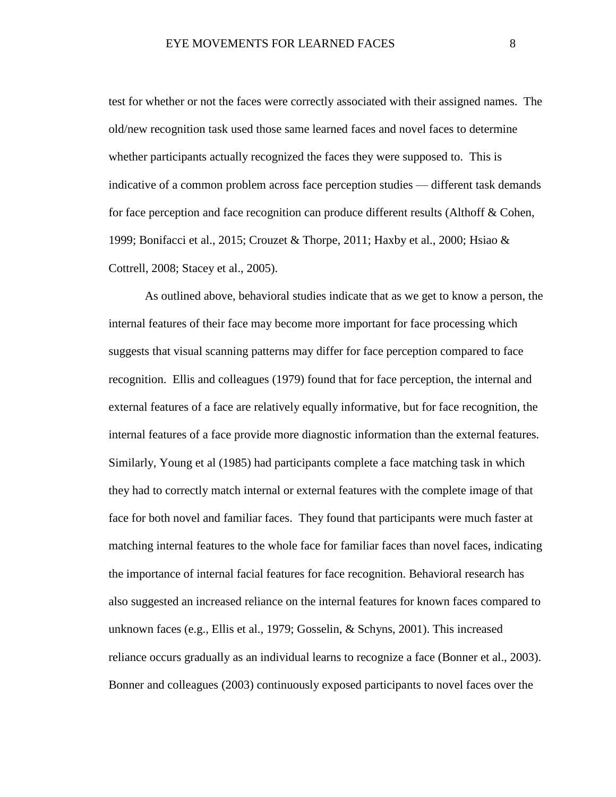test for whether or not the faces were correctly associated with their assigned names. The old/new recognition task used those same learned faces and novel faces to determine whether participants actually recognized the faces they were supposed to. This is indicative of a common problem across face perception studies — different task demands for face perception and face recognition can produce different results (Althoff & Cohen, 1999; Bonifacci et al., 2015; Crouzet & Thorpe, 2011; Haxby et al., 2000; Hsiao & Cottrell, 2008; Stacey et al., 2005).

As outlined above, behavioral studies indicate that as we get to know a person, the internal features of their face may become more important for face processing which suggests that visual scanning patterns may differ for face perception compared to face recognition. Ellis and colleagues (1979) found that for face perception, the internal and external features of a face are relatively equally informative, but for face recognition, the internal features of a face provide more diagnostic information than the external features. Similarly, Young et al (1985) had participants complete a face matching task in which they had to correctly match internal or external features with the complete image of that face for both novel and familiar faces. They found that participants were much faster at matching internal features to the whole face for familiar faces than novel faces, indicating the importance of internal facial features for face recognition. Behavioral research has also suggested an increased reliance on the internal features for known faces compared to unknown faces (e.g., Ellis et al., 1979; Gosselin, & Schyns, 2001). This increased reliance occurs gradually as an individual learns to recognize a face (Bonner et al., 2003). Bonner and colleagues (2003) continuously exposed participants to novel faces over the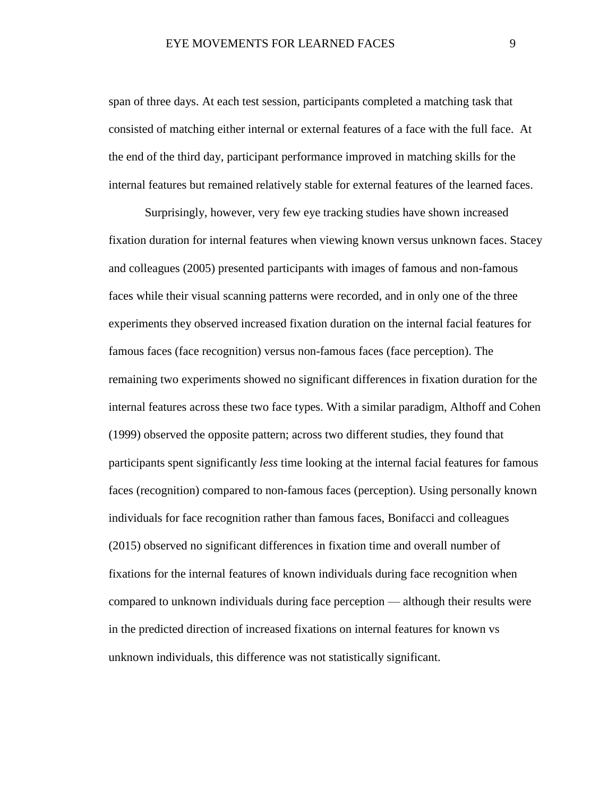span of three days. At each test session, participants completed a matching task that consisted of matching either internal or external features of a face with the full face. At the end of the third day, participant performance improved in matching skills for the internal features but remained relatively stable for external features of the learned faces.

Surprisingly, however, very few eye tracking studies have shown increased fixation duration for internal features when viewing known versus unknown faces. Stacey and colleagues (2005) presented participants with images of famous and non-famous faces while their visual scanning patterns were recorded, and in only one of the three experiments they observed increased fixation duration on the internal facial features for famous faces (face recognition) versus non-famous faces (face perception). The remaining two experiments showed no significant differences in fixation duration for the internal features across these two face types. With a similar paradigm, Althoff and Cohen (1999) observed the opposite pattern; across two different studies, they found that participants spent significantly *less* time looking at the internal facial features for famous faces (recognition) compared to non-famous faces (perception). Using personally known individuals for face recognition rather than famous faces, Bonifacci and colleagues (2015) observed no significant differences in fixation time and overall number of fixations for the internal features of known individuals during face recognition when compared to unknown individuals during face perception — although their results were in the predicted direction of increased fixations on internal features for known vs unknown individuals, this difference was not statistically significant.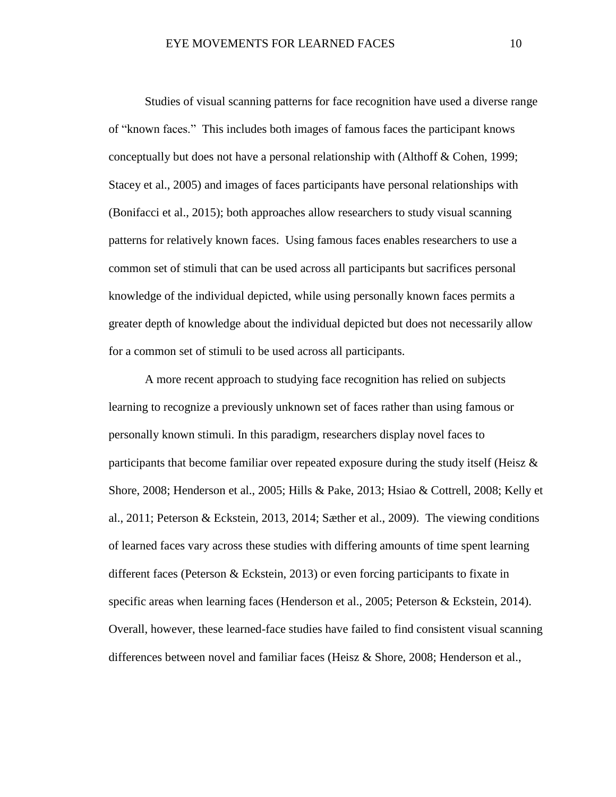Studies of visual scanning patterns for face recognition have used a diverse range of "known faces." This includes both images of famous faces the participant knows conceptually but does not have a personal relationship with (Althoff & Cohen, 1999; Stacey et al., 2005) and images of faces participants have personal relationships with (Bonifacci et al., 2015); both approaches allow researchers to study visual scanning patterns for relatively known faces. Using famous faces enables researchers to use a common set of stimuli that can be used across all participants but sacrifices personal knowledge of the individual depicted, while using personally known faces permits a greater depth of knowledge about the individual depicted but does not necessarily allow for a common set of stimuli to be used across all participants.

A more recent approach to studying face recognition has relied on subjects learning to recognize a previously unknown set of faces rather than using famous or personally known stimuli. In this paradigm, researchers display novel faces to participants that become familiar over repeated exposure during the study itself (Heisz  $\&$ Shore, 2008; Henderson et al., 2005; Hills & Pake, 2013; Hsiao & Cottrell, 2008; Kelly et al., 2011; Peterson & Eckstein, 2013, 2014; Sæther et al., 2009). The viewing conditions of learned faces vary across these studies with differing amounts of time spent learning different faces (Peterson & Eckstein, 2013) or even forcing participants to fixate in specific areas when learning faces (Henderson et al., 2005; Peterson & Eckstein, 2014). Overall, however, these learned-face studies have failed to find consistent visual scanning differences between novel and familiar faces (Heisz & Shore, 2008; Henderson et al.,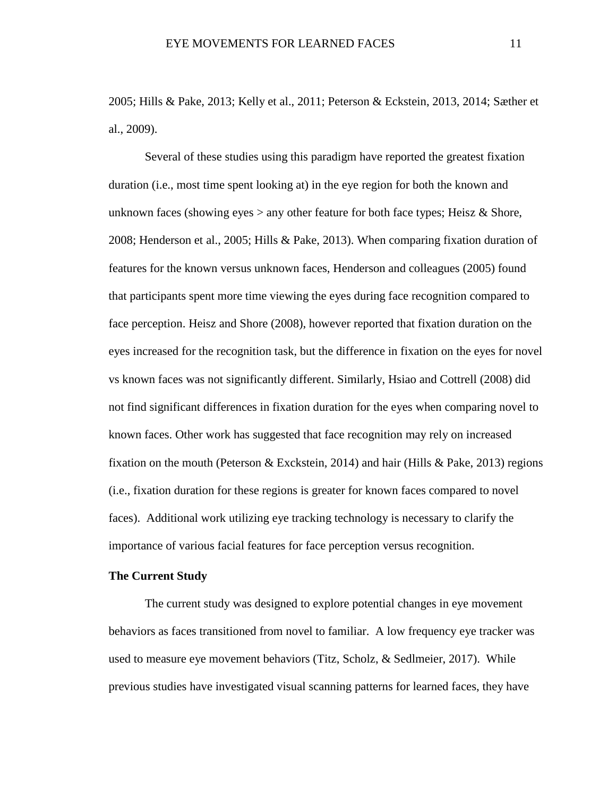2005; Hills & Pake, 2013; Kelly et al., 2011; Peterson & Eckstein, 2013, 2014; Sæther et al., 2009).

Several of these studies using this paradigm have reported the greatest fixation duration (i.e., most time spent looking at) in the eye region for both the known and unknown faces (showing eyes  $>$  any other feature for both face types; Heisz & Shore, 2008; Henderson et al., 2005; Hills & Pake, 2013). When comparing fixation duration of features for the known versus unknown faces, Henderson and colleagues (2005) found that participants spent more time viewing the eyes during face recognition compared to face perception. Heisz and Shore (2008), however reported that fixation duration on the eyes increased for the recognition task, but the difference in fixation on the eyes for novel vs known faces was not significantly different. Similarly, Hsiao and Cottrell (2008) did not find significant differences in fixation duration for the eyes when comparing novel to known faces. Other work has suggested that face recognition may rely on increased fixation on the mouth (Peterson & Exckstein, 2014) and hair (Hills & Pake, 2013) regions (i.e., fixation duration for these regions is greater for known faces compared to novel faces). Additional work utilizing eye tracking technology is necessary to clarify the importance of various facial features for face perception versus recognition.

# <span id="page-17-0"></span>**The Current Study**

The current study was designed to explore potential changes in eye movement behaviors as faces transitioned from novel to familiar. A low frequency eye tracker was used to measure eye movement behaviors (Titz, Scholz, & Sedlmeier, 2017). While previous studies have investigated visual scanning patterns for learned faces, they have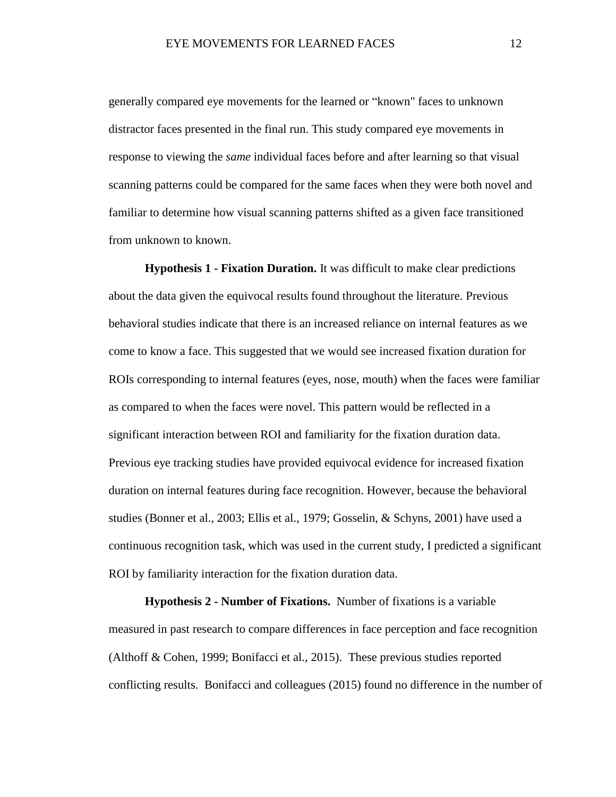generally compared eye movements for the learned or "known" faces to unknown distractor faces presented in the final run. This study compared eye movements in response to viewing the *same* individual faces before and after learning so that visual scanning patterns could be compared for the same faces when they were both novel and familiar to determine how visual scanning patterns shifted as a given face transitioned from unknown to known.

<span id="page-18-0"></span>**Hypothesis 1 - Fixation Duration.** It was difficult to make clear predictions about the data given the equivocal results found throughout the literature. Previous behavioral studies indicate that there is an increased reliance on internal features as we come to know a face. This suggested that we would see increased fixation duration for ROIs corresponding to internal features (eyes, nose, mouth) when the faces were familiar as compared to when the faces were novel. This pattern would be reflected in a significant interaction between ROI and familiarity for the fixation duration data. Previous eye tracking studies have provided equivocal evidence for increased fixation duration on internal features during face recognition. However, because the behavioral studies (Bonner et al., 2003; Ellis et al., 1979; Gosselin, & Schyns, 2001) have used a continuous recognition task, which was used in the current study, I predicted a significant ROI by familiarity interaction for the fixation duration data.

<span id="page-18-1"></span>**Hypothesis 2 - Number of Fixations.** Number of fixations is a variable measured in past research to compare differences in face perception and face recognition (Althoff & Cohen, 1999; Bonifacci et al., 2015). These previous studies reported conflicting results. Bonifacci and colleagues (2015) found no difference in the number of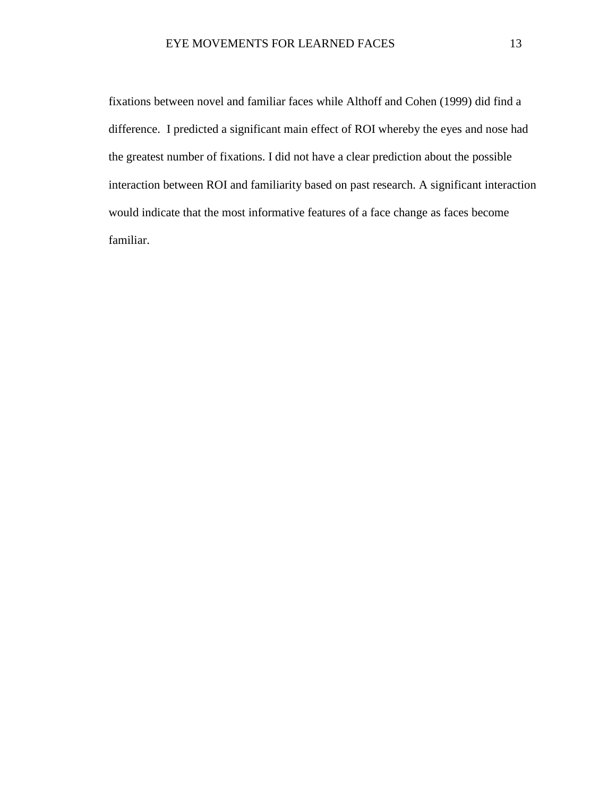fixations between novel and familiar faces while Althoff and Cohen (1999) did find a difference. I predicted a significant main effect of ROI whereby the eyes and nose had the greatest number of fixations. I did not have a clear prediction about the possible interaction between ROI and familiarity based on past research. A significant interaction would indicate that the most informative features of a face change as faces become familiar.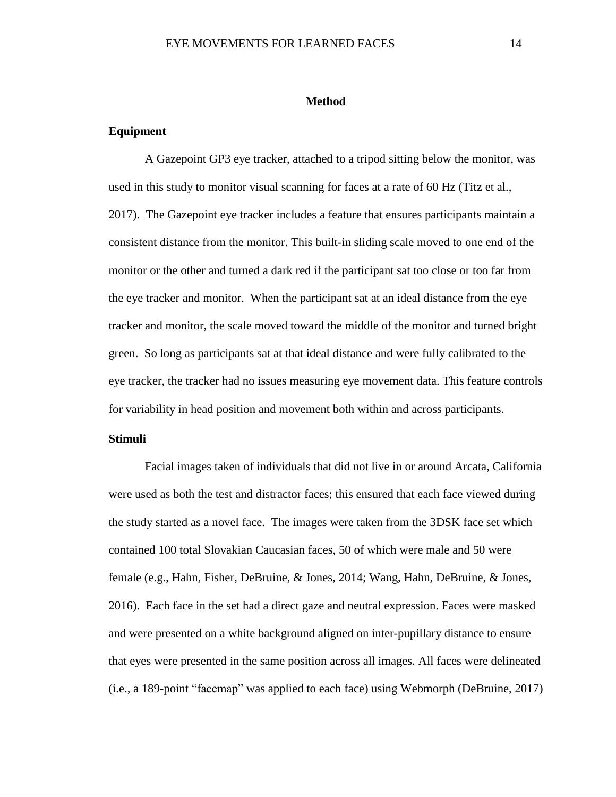#### **Method**

### <span id="page-20-1"></span><span id="page-20-0"></span>**Equipment**

A Gazepoint GP3 eye tracker, attached to a tripod sitting below the monitor, was used in this study to monitor visual scanning for faces at a rate of 60 Hz (Titz et al., 2017). The Gazepoint eye tracker includes a feature that ensures participants maintain a consistent distance from the monitor. This built-in sliding scale moved to one end of the monitor or the other and turned a dark red if the participant sat too close or too far from the eye tracker and monitor. When the participant sat at an ideal distance from the eye tracker and monitor, the scale moved toward the middle of the monitor and turned bright green. So long as participants sat at that ideal distance and were fully calibrated to the eye tracker, the tracker had no issues measuring eye movement data. This feature controls for variability in head position and movement both within and across participants.

# <span id="page-20-2"></span>**Stimuli**

Facial images taken of individuals that did not live in or around Arcata, California were used as both the test and distractor faces; this ensured that each face viewed during the study started as a novel face. The images were taken from the 3DSK face set which contained 100 total Slovakian Caucasian faces, 50 of which were male and 50 were female (e.g., Hahn, Fisher, DeBruine, & Jones, 2014; Wang, Hahn, DeBruine, & Jones, 2016). Each face in the set had a direct gaze and neutral expression. Faces were masked and were presented on a white background aligned on inter-pupillary distance to ensure that eyes were presented in the same position across all images. All faces were delineated (i.e., a 189-point "facemap" was applied to each face) using Webmorph (DeBruine, 2017)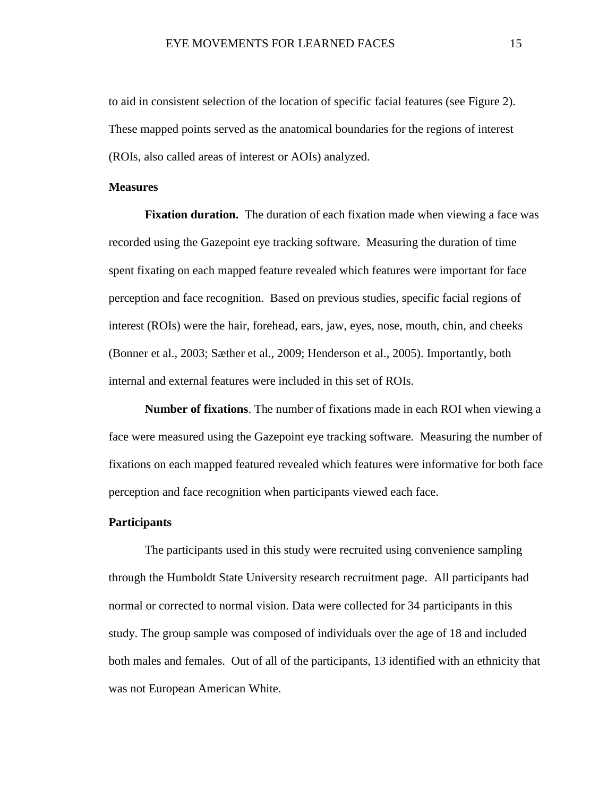to aid in consistent selection of the location of specific facial features (see Figure 2). These mapped points served as the anatomical boundaries for the regions of interest (ROIs, also called areas of interest or AOIs) analyzed.

#### <span id="page-21-0"></span>**Measures**

<span id="page-21-1"></span>**Fixation duration.** The duration of each fixation made when viewing a face was recorded using the Gazepoint eye tracking software. Measuring the duration of time spent fixating on each mapped feature revealed which features were important for face perception and face recognition. Based on previous studies, specific facial regions of interest (ROIs) were the hair, forehead, ears, jaw, eyes, nose, mouth, chin, and cheeks (Bonner et al., 2003; Sæther et al., 2009; Henderson et al., 2005). Importantly, both internal and external features were included in this set of ROIs.

<span id="page-21-2"></span>**Number of fixations**. The number of fixations made in each ROI when viewing a face were measured using the Gazepoint eye tracking software. Measuring the number of fixations on each mapped featured revealed which features were informative for both face perception and face recognition when participants viewed each face.

# <span id="page-21-3"></span>**Participants**

The participants used in this study were recruited using convenience sampling through the Humboldt State University research recruitment page. All participants had normal or corrected to normal vision. Data were collected for 34 participants in this study. The group sample was composed of individuals over the age of 18 and included both males and females. Out of all of the participants, 13 identified with an ethnicity that was not European American White.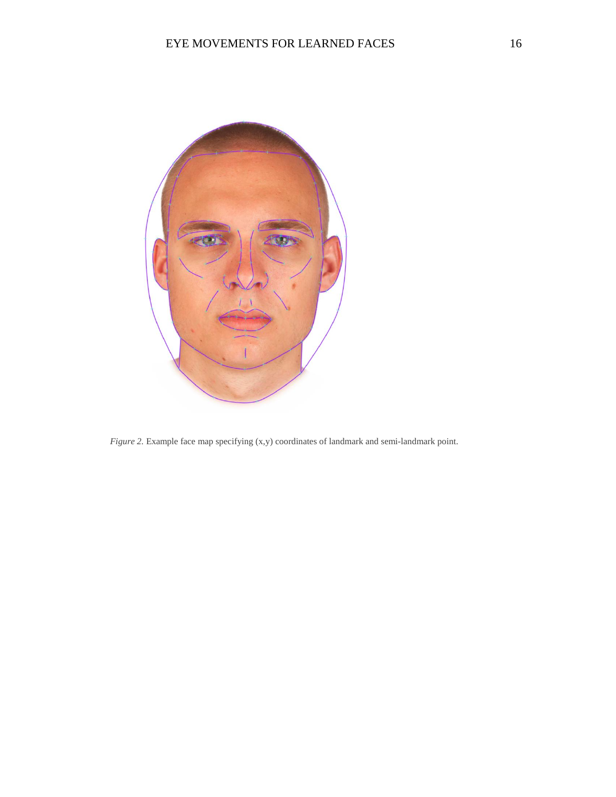

*Figure 2.* Example face map specifying (x,y) coordinates of landmark and semi-landmark point.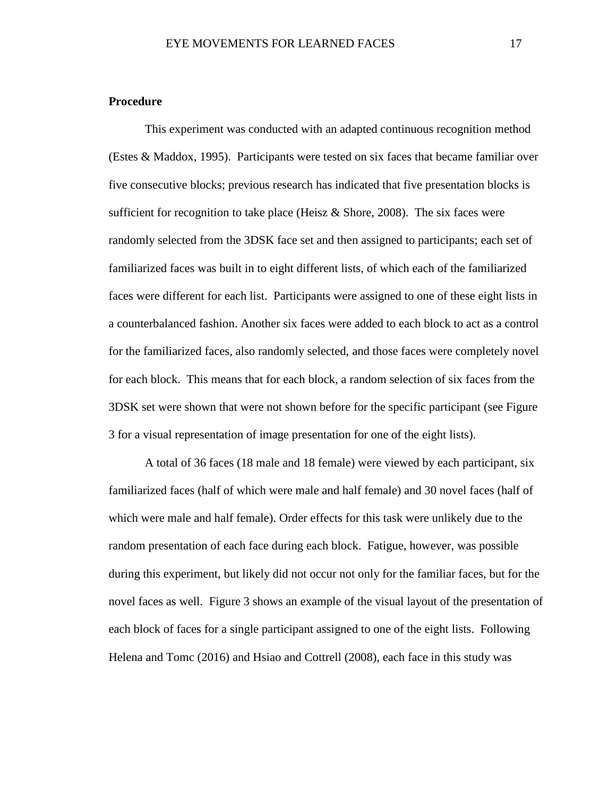### <span id="page-23-0"></span>**Procedure**

This experiment was conducted with an adapted continuous recognition method (Estes & Maddox, 1995). Participants were tested on six faces that became familiar over five consecutive blocks; previous research has indicated that five presentation blocks is sufficient for recognition to take place (Heisz  $\&$  Shore, 2008). The six faces were randomly selected from the 3DSK face set and then assigned to participants; each set of familiarized faces was built in to eight different lists, of which each of the familiarized faces were different for each list. Participants were assigned to one of these eight lists in a counterbalanced fashion. Another six faces were added to each block to act as a control for the familiarized faces, also randomly selected, and those faces were completely novel for each block. This means that for each block, a random selection of six faces from the 3DSK set were shown that were not shown before for the specific participant (see Figure 3 for a visual representation of image presentation for one of the eight lists).

A total of 36 faces (18 male and 18 female) were viewed by each participant, six familiarized faces (half of which were male and half female) and 30 novel faces (half of which were male and half female). Order effects for this task were unlikely due to the random presentation of each face during each block. Fatigue, however, was possible during this experiment, but likely did not occur not only for the familiar faces, but for the novel faces as well. Figure 3 shows an example of the visual layout of the presentation of each block of faces for a single participant assigned to one of the eight lists. Following Helena and Tomc (2016) and Hsiao and Cottrell (2008), each face in this study was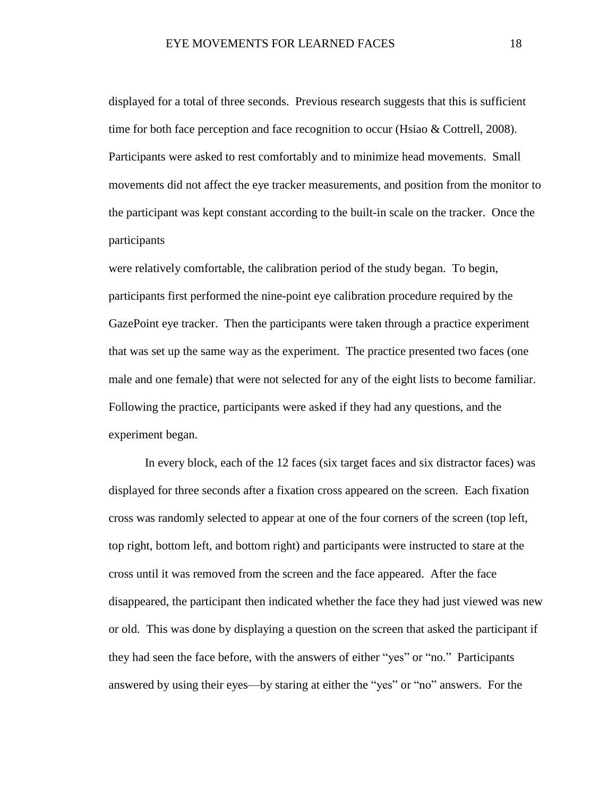displayed for a total of three seconds. Previous research suggests that this is sufficient time for both face perception and face recognition to occur (Hsiao & Cottrell, 2008). Participants were asked to rest comfortably and to minimize head movements. Small movements did not affect the eye tracker measurements, and position from the monitor to the participant was kept constant according to the built-in scale on the tracker. Once the participants

were relatively comfortable, the calibration period of the study began. To begin, participants first performed the nine-point eye calibration procedure required by the GazePoint eye tracker. Then the participants were taken through a practice experiment that was set up the same way as the experiment. The practice presented two faces (one male and one female) that were not selected for any of the eight lists to become familiar. Following the practice, participants were asked if they had any questions, and the experiment began.

In every block, each of the 12 faces (six target faces and six distractor faces) was displayed for three seconds after a fixation cross appeared on the screen. Each fixation cross was randomly selected to appear at one of the four corners of the screen (top left, top right, bottom left, and bottom right) and participants were instructed to stare at the cross until it was removed from the screen and the face appeared. After the face disappeared, the participant then indicated whether the face they had just viewed was new or old. This was done by displaying a question on the screen that asked the participant if they had seen the face before, with the answers of either "yes" or "no." Participants answered by using their eyes—by staring at either the "yes" or "no" answers. For the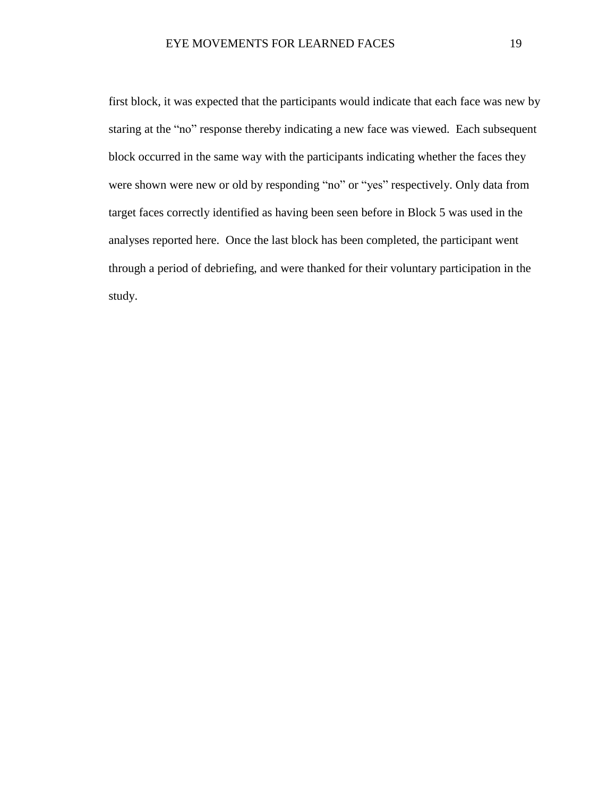first block, it was expected that the participants would indicate that each face was new by staring at the "no" response thereby indicating a new face was viewed. Each subsequent block occurred in the same way with the participants indicating whether the faces they were shown were new or old by responding "no" or "yes" respectively. Only data from target faces correctly identified as having been seen before in Block 5 was used in the analyses reported here. Once the last block has been completed, the participant went through a period of debriefing, and were thanked for their voluntary participation in the study.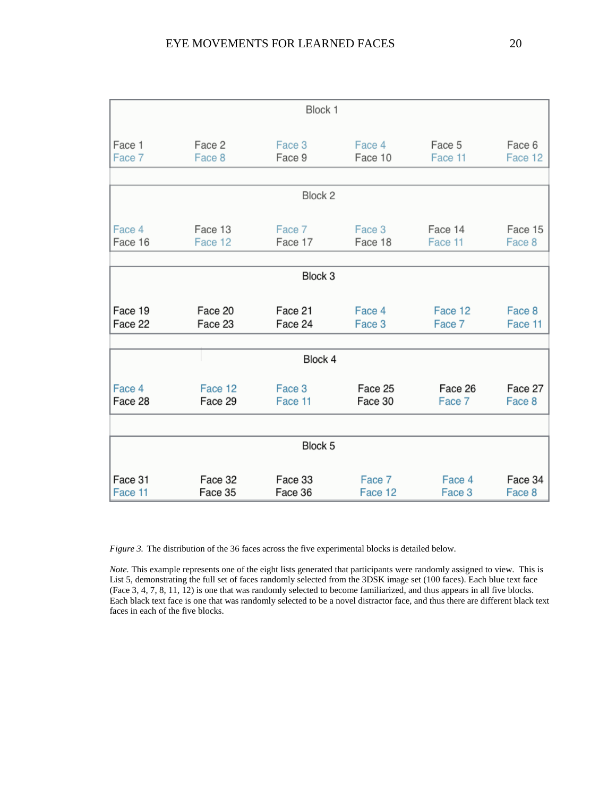|         |         | Block 1 |         |         |         |
|---------|---------|---------|---------|---------|---------|
| Face 1  | Face 2  | Face 3  | Face 4  | Face 5  | Face 6  |
| Face 7  | Face 8  | Face 9  | Face 10 | Face 11 | Face 12 |
|         |         | Block 2 |         |         |         |
| Face 4  | Face 13 | Face 7  | Face 3  | Face 14 | Face 15 |
| Face 16 | Face 12 | Face 17 | Face 18 | Face 11 | Face 8  |
|         |         | Block 3 |         |         |         |
| Face 19 | Face 20 | Face 21 | Face 4  | Face 12 | Face 8  |
| Face 22 | Face 23 | Face 24 | Face 3  | Face 7  | Face 11 |
|         |         | Block 4 |         |         |         |
| Face 4  | Face 12 | Face 3  | Face 25 | Face 26 | Face 27 |
| Face 28 | Face 29 | Face 11 | Face 30 | Face 7  | Face 8  |
|         |         | Block 5 |         |         |         |
| Face 31 | Face 32 | Face 33 | Face 7  | Face 4  | Face 34 |
| Face 11 | Face 35 | Face 36 | Face 12 | Face 3  | Face 8  |

*Figure* 3. The distribution of the 36 faces across the five experimental blocks is detailed below.

*Note.* This example represents one of the eight lists generated that participants were randomly assigned to view. This is List 5, demonstrating the full set of faces randomly selected from the 3DSK image set (100 faces). Each blue text face (Face 3, 4, 7, 8, 11, 12) is one that was randomly selected to become familiarized, and thus appears in all five blocks. Each black text face is one that was randomly selected to be a novel distractor face, and thus there are different black text faces in each of the five blocks.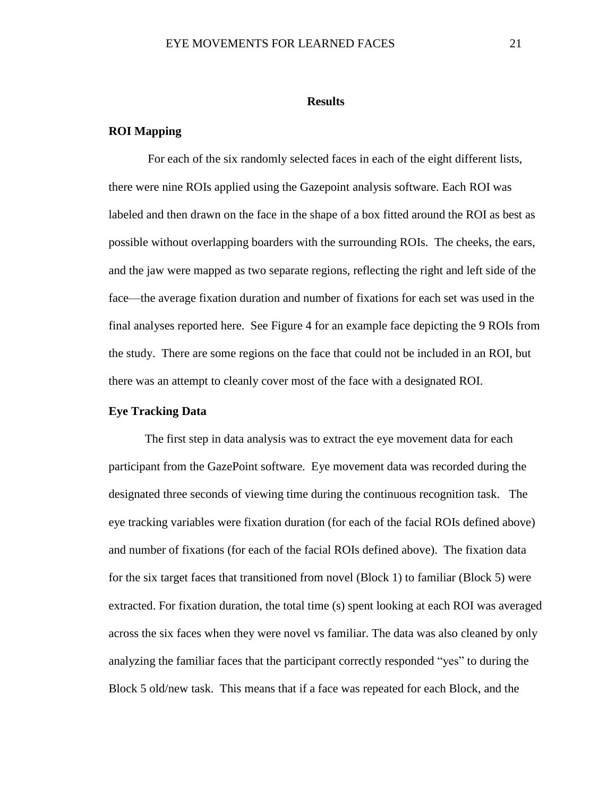#### **Results**

### <span id="page-27-1"></span><span id="page-27-0"></span>**ROI Mapping**

For each of the six randomly selected faces in each of the eight different lists, there were nine ROIs applied using the Gazepoint analysis software. Each ROI was labeled and then drawn on the face in the shape of a box fitted around the ROI as best as possible without overlapping boarders with the surrounding ROIs. The cheeks, the ears, and the jaw were mapped as two separate regions, reflecting the right and left side of the face—the average fixation duration and number of fixations for each set was used in the final analyses reported here. See Figure 4 for an example face depicting the 9 ROIs from the study. There are some regions on the face that could not be included in an ROI, but there was an attempt to cleanly cover most of the face with a designated ROI.

### <span id="page-27-2"></span>**Eye Tracking Data**

The first step in data analysis was to extract the eye movement data for each participant from the GazePoint software. Eye movement data was recorded during the designated three seconds of viewing time during the continuous recognition task. The eye tracking variables were fixation duration (for each of the facial ROIs defined above) and number of fixations (for each of the facial ROIs defined above). The fixation data for the six target faces that transitioned from novel (Block 1) to familiar (Block 5) were extracted. For fixation duration, the total time (s) spent looking at each ROI was averaged across the six faces when they were novel vs familiar. The data was also cleaned by only analyzing the familiar faces that the participant correctly responded "yes" to during the Block 5 old/new task. This means that if a face was repeated for each Block, and the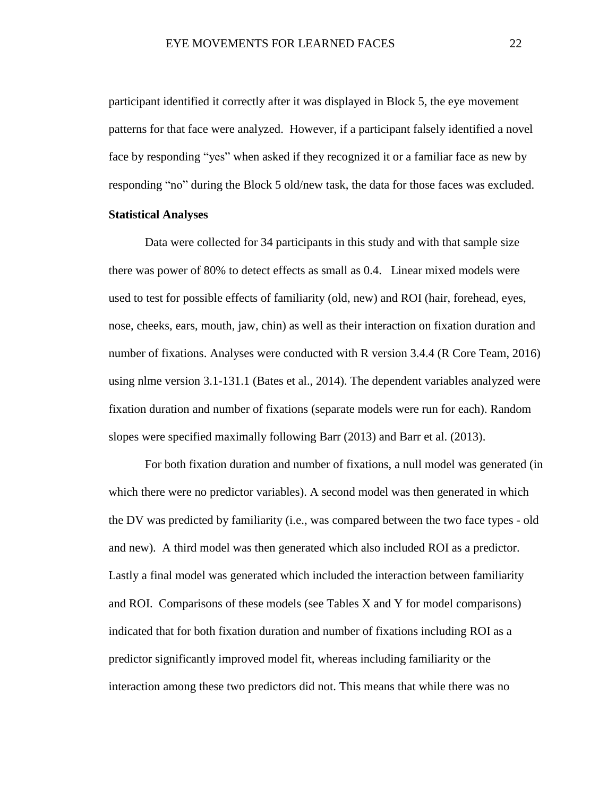participant identified it correctly after it was displayed in Block 5, the eye movement patterns for that face were analyzed. However, if a participant falsely identified a novel face by responding "yes" when asked if they recognized it or a familiar face as new by responding "no" during the Block 5 old/new task, the data for those faces was excluded.

### <span id="page-28-0"></span>**Statistical Analyses**

Data were collected for 34 participants in this study and with that sample size there was power of 80% to detect effects as small as 0.4. Linear mixed models were used to test for possible effects of familiarity (old, new) and ROI (hair, forehead, eyes, nose, cheeks, ears, mouth, jaw, chin) as well as their interaction on fixation duration and number of fixations. Analyses were conducted with R version 3.4.4 (R Core Team, 2016) using nlme version 3.1-131.1 (Bates et al., 2014). The dependent variables analyzed were fixation duration and number of fixations (separate models were run for each). Random slopes were specified maximally following Barr (2013) and Barr et al. (2013).

For both fixation duration and number of fixations, a null model was generated (in which there were no predictor variables). A second model was then generated in which the DV was predicted by familiarity (i.e., was compared between the two face types - old and new). A third model was then generated which also included ROI as a predictor. Lastly a final model was generated which included the interaction between familiarity and ROI. Comparisons of these models (see Tables X and Y for model comparisons) indicated that for both fixation duration and number of fixations including ROI as a predictor significantly improved model fit, whereas including familiarity or the interaction among these two predictors did not. This means that while there was no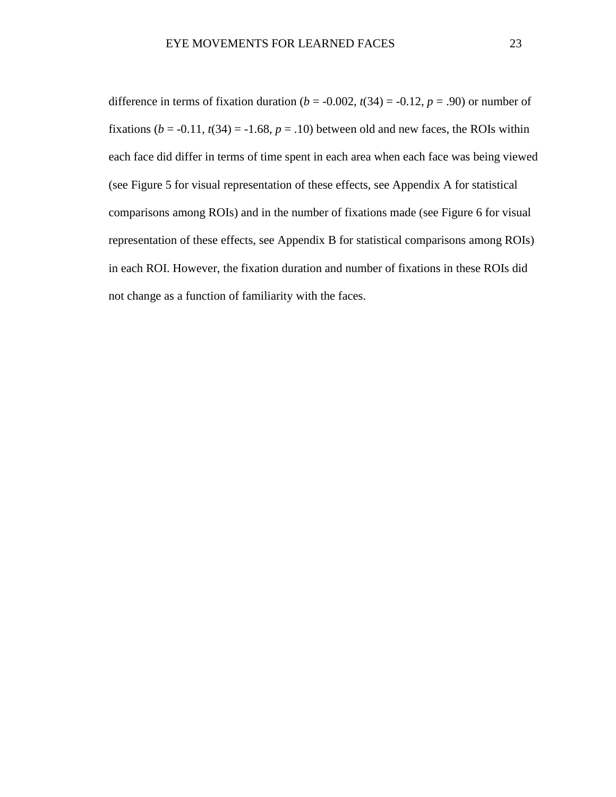difference in terms of fixation duration ( $b = -0.002$ ,  $t(34) = -0.12$ ,  $p = .90$ ) or number of fixations  $(b = -0.11, t(34) = -1.68, p = .10)$  between old and new faces, the ROIs within each face did differ in terms of time spent in each area when each face was being viewed (see Figure 5 for visual representation of these effects, see Appendix A for statistical comparisons among ROIs) and in the number of fixations made (see Figure 6 for visual representation of these effects, see Appendix B for statistical comparisons among ROIs) in each ROI. However, the fixation duration and number of fixations in these ROIs did not change as a function of familiarity with the faces.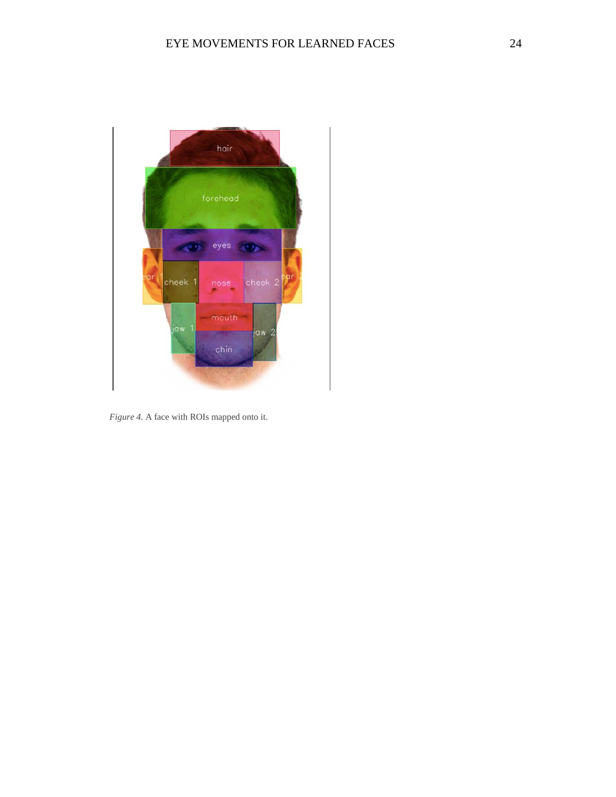

*Figure 4.* A face with ROIs mapped onto it.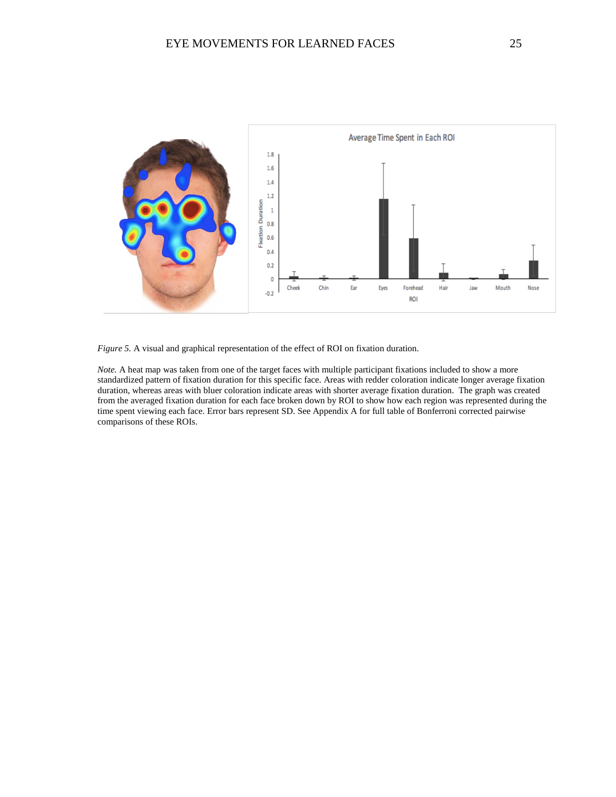

*Figure 5.* A visual and graphical representation of the effect of ROI on fixation duration.

*Note.* A heat map was taken from one of the target faces with multiple participant fixations included to show a more standardized pattern of fixation duration for this specific face. Areas with redder coloration indicate longer average fixation duration, whereas areas with bluer coloration indicate areas with shorter average fixation duration. The graph was created from the averaged fixation duration for each face broken down by ROI to show how each region was represented during the time spent viewing each face. Error bars represent SD. See Appendix A for full table of Bonferroni corrected pairwise comparisons of these ROIs.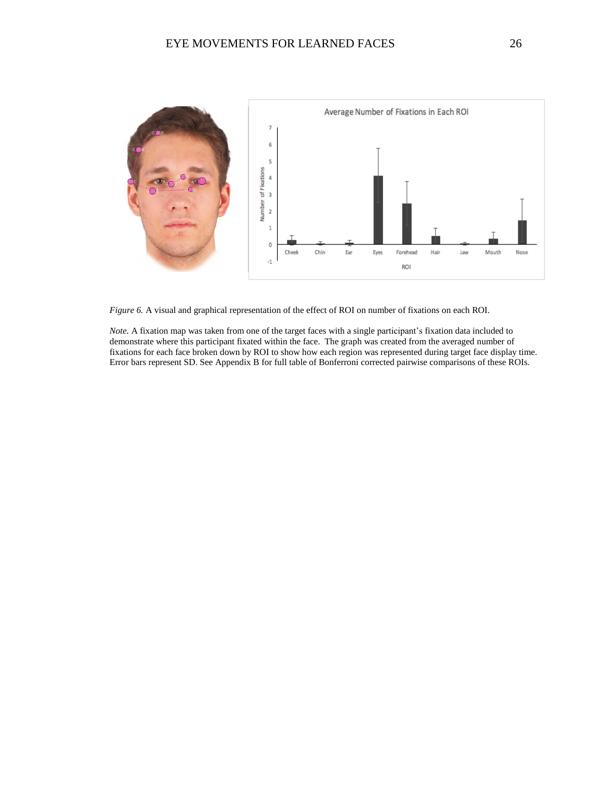

*Figure 6.* A visual and graphical representation of the effect of ROI on number of fixations on each ROI.

*Note.* A fixation map was taken from one of the target faces with a single participant's fixation data included to demonstrate where this participant fixated within the face. The graph was created from the averaged number of fixations for each face broken down by ROI to show how each region was represented during target face display time. Error bars represent SD. See Appendix B for full table of Bonferroni corrected pairwise comparisons of these ROIs.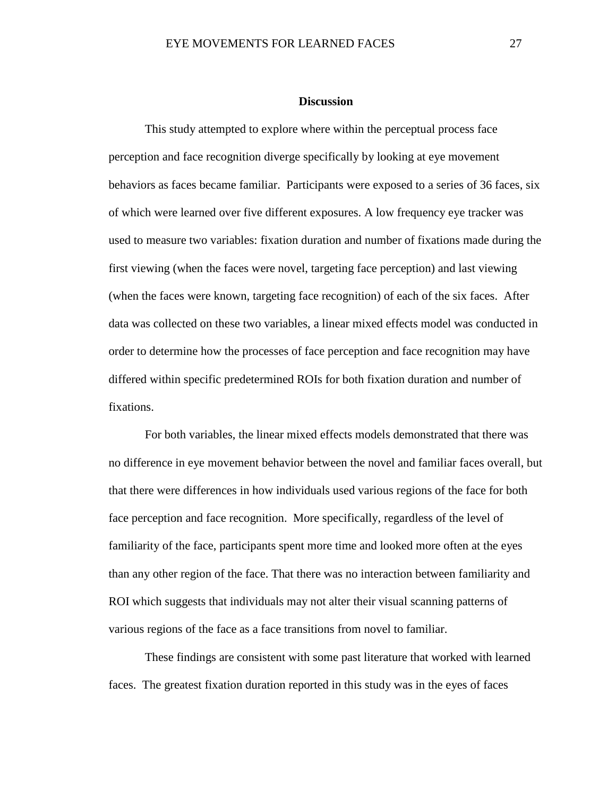#### **Discussion**

<span id="page-33-0"></span>This study attempted to explore where within the perceptual process face perception and face recognition diverge specifically by looking at eye movement behaviors as faces became familiar. Participants were exposed to a series of 36 faces, six of which were learned over five different exposures. A low frequency eye tracker was used to measure two variables: fixation duration and number of fixations made during the first viewing (when the faces were novel, targeting face perception) and last viewing (when the faces were known, targeting face recognition) of each of the six faces. After data was collected on these two variables, a linear mixed effects model was conducted in order to determine how the processes of face perception and face recognition may have differed within specific predetermined ROIs for both fixation duration and number of fixations.

For both variables, the linear mixed effects models demonstrated that there was no difference in eye movement behavior between the novel and familiar faces overall, but that there were differences in how individuals used various regions of the face for both face perception and face recognition. More specifically, regardless of the level of familiarity of the face, participants spent more time and looked more often at the eyes than any other region of the face. That there was no interaction between familiarity and ROI which suggests that individuals may not alter their visual scanning patterns of various regions of the face as a face transitions from novel to familiar.

These findings are consistent with some past literature that worked with learned faces. The greatest fixation duration reported in this study was in the eyes of faces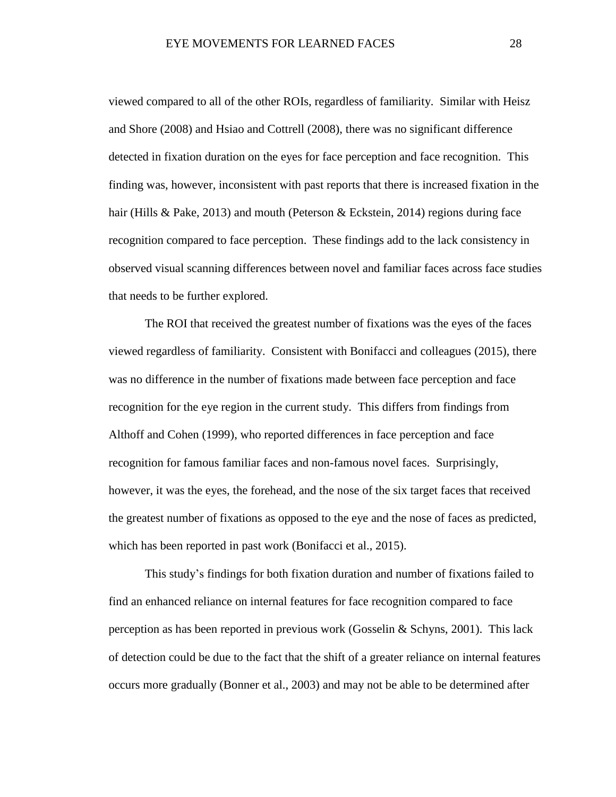viewed compared to all of the other ROIs, regardless of familiarity. Similar with Heisz and Shore (2008) and Hsiao and Cottrell (2008), there was no significant difference detected in fixation duration on the eyes for face perception and face recognition. This finding was, however, inconsistent with past reports that there is increased fixation in the hair (Hills & Pake, 2013) and mouth (Peterson & Eckstein, 2014) regions during face recognition compared to face perception. These findings add to the lack consistency in observed visual scanning differences between novel and familiar faces across face studies that needs to be further explored.

The ROI that received the greatest number of fixations was the eyes of the faces viewed regardless of familiarity. Consistent with Bonifacci and colleagues (2015), there was no difference in the number of fixations made between face perception and face recognition for the eye region in the current study. This differs from findings from Althoff and Cohen (1999), who reported differences in face perception and face recognition for famous familiar faces and non-famous novel faces. Surprisingly, however, it was the eyes, the forehead, and the nose of the six target faces that received the greatest number of fixations as opposed to the eye and the nose of faces as predicted, which has been reported in past work (Bonifacci et al., 2015).

This study's findings for both fixation duration and number of fixations failed to find an enhanced reliance on internal features for face recognition compared to face perception as has been reported in previous work (Gosselin & Schyns, 2001). This lack of detection could be due to the fact that the shift of a greater reliance on internal features occurs more gradually (Bonner et al., 2003) and may not be able to be determined after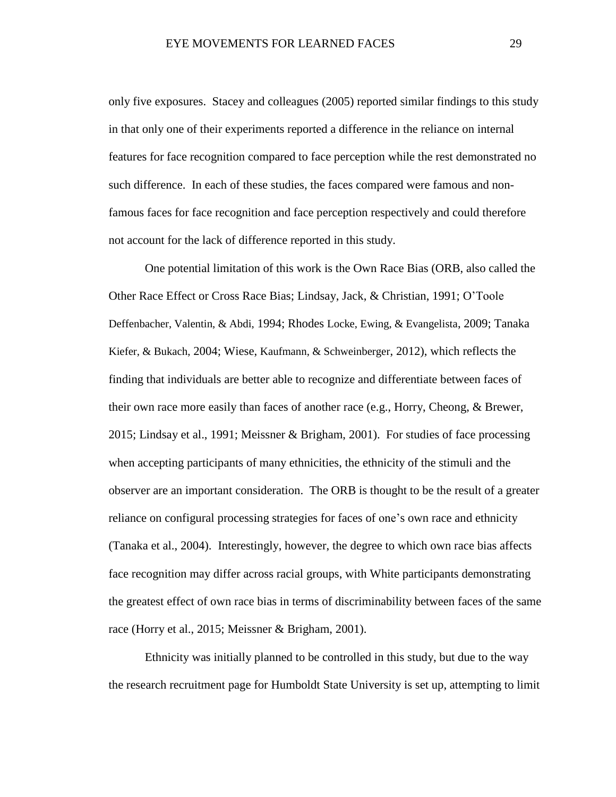only five exposures. Stacey and colleagues (2005) reported similar findings to this study in that only one of their experiments reported a difference in the reliance on internal features for face recognition compared to face perception while the rest demonstrated no such difference. In each of these studies, the faces compared were famous and nonfamous faces for face recognition and face perception respectively and could therefore not account for the lack of difference reported in this study.

One potential limitation of this work is the Own Race Bias (ORB, also called the Other Race Effect or Cross Race Bias; Lindsay, Jack, & Christian, 1991; O'Toole Deffenbacher, Valentin, & Abdi, 1994; Rhodes Locke, Ewing, & Evangelista, 2009; Tanaka Kiefer, & Bukach, 2004; Wiese, Kaufmann, & Schweinberger, 2012), which reflects the finding that individuals are better able to recognize and differentiate between faces of their own race more easily than faces of another race (e.g., Horry, Cheong, & Brewer, 2015; Lindsay et al., 1991; Meissner & Brigham, 2001). For studies of face processing when accepting participants of many ethnicities, the ethnicity of the stimuli and the observer are an important consideration. The ORB is thought to be the result of a greater reliance on configural processing strategies for faces of one's own race and ethnicity (Tanaka et al., 2004). Interestingly, however, the degree to which own race bias affects face recognition may differ across racial groups, with White participants demonstrating the greatest effect of own race bias in terms of discriminability between faces of the same race (Horry et al., 2015; Meissner & Brigham, 2001).

Ethnicity was initially planned to be controlled in this study, but due to the way the research recruitment page for Humboldt State University is set up, attempting to limit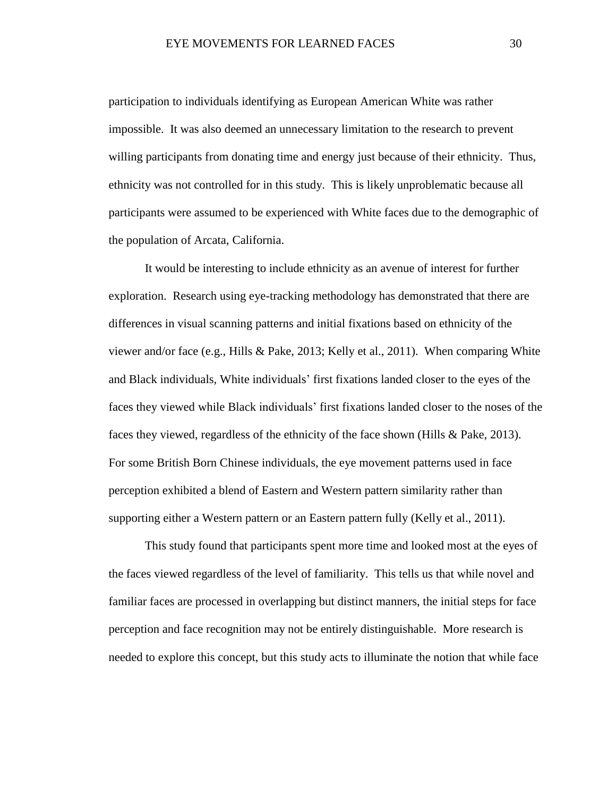participation to individuals identifying as European American White was rather impossible. It was also deemed an unnecessary limitation to the research to prevent willing participants from donating time and energy just because of their ethnicity. Thus, ethnicity was not controlled for in this study. This is likely unproblematic because all participants were assumed to be experienced with White faces due to the demographic of the population of Arcata, California.

It would be interesting to include ethnicity as an avenue of interest for further exploration. Research using eye-tracking methodology has demonstrated that there are differences in visual scanning patterns and initial fixations based on ethnicity of the viewer and/or face (e.g., Hills & Pake, 2013; Kelly et al., 2011). When comparing White and Black individuals, White individuals' first fixations landed closer to the eyes of the faces they viewed while Black individuals' first fixations landed closer to the noses of the faces they viewed, regardless of the ethnicity of the face shown (Hills & Pake, 2013). For some British Born Chinese individuals, the eye movement patterns used in face perception exhibited a blend of Eastern and Western pattern similarity rather than supporting either a Western pattern or an Eastern pattern fully (Kelly et al., 2011).

This study found that participants spent more time and looked most at the eyes of the faces viewed regardless of the level of familiarity. This tells us that while novel and familiar faces are processed in overlapping but distinct manners, the initial steps for face perception and face recognition may not be entirely distinguishable. More research is needed to explore this concept, but this study acts to illuminate the notion that while face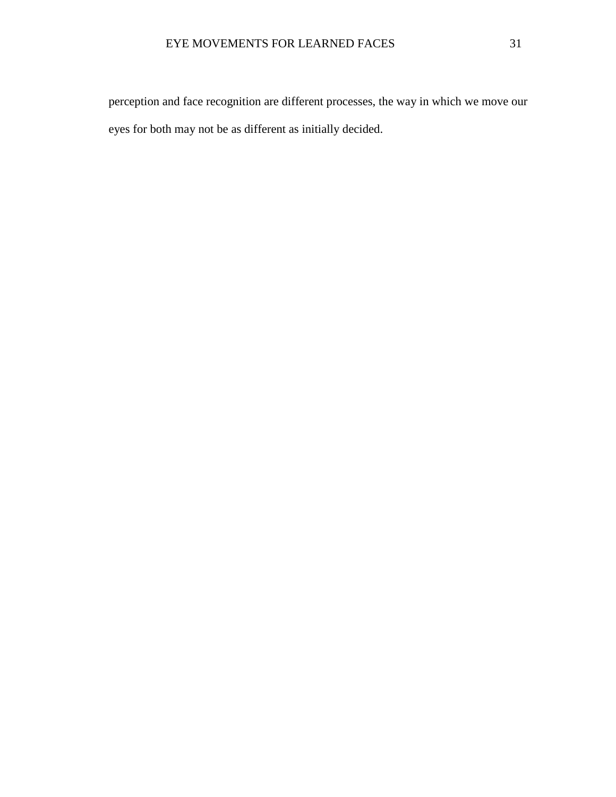perception and face recognition are different processes, the way in which we move our eyes for both may not be as different as initially decided.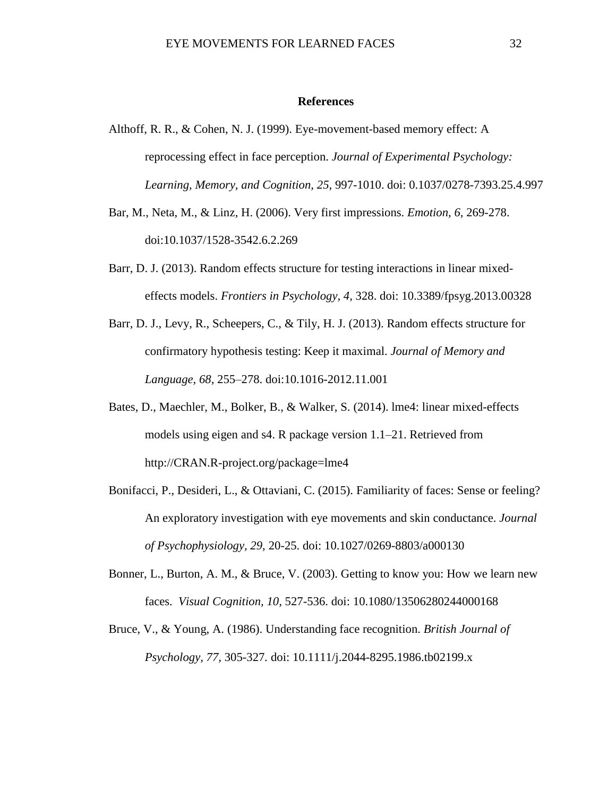#### **References**

- <span id="page-38-0"></span>Althoff, R. R., & Cohen, N. J. (1999). Eye-movement-based memory effect: A reprocessing effect in face perception. *Journal of Experimental Psychology: Learning, Memory, and Cognition, 25*, 997-1010. doi: 0.1037/0278-7393.25.4.997
- Bar, M., Neta, M., & Linz, H. (2006). Very first impressions. *Emotion, 6,* 269-278. doi:10.1037/1528-3542.6.2.269
- Barr, D. J. (2013). Random effects structure for testing interactions in linear mixedeffects models. *Frontiers in Psychology, 4,* 328. doi: [10.3389/fpsyg.2013.00328](https://doi.org/10.3389/fpsyg.2013.00328)
- Barr, D. J., Levy, R., Scheepers, C., & Tily, H. J. (2013). Random effects structure for confirmatory hypothesis testing: Keep it maximal. *Journal of Memory and Language, 68*, 255–278. doi:10.1016-2012.11.001
- Bates, D., Maechler, M., Bolker, B., & Walker, S. (2014). lme4: linear mixed-effects models using eigen and s4. R package version 1.1–21. Retrieved from http://CRAN.R-project.org/package=lme4
- Bonifacci, P., Desideri, L., & Ottaviani, C. (2015). Familiarity of faces: Sense or feeling? An exploratory investigation with eye movements and skin conductance. *Journal of Psychophysiology, 29*, 20-25. doi: 10.1027/0269-8803/a000130
- Bonner, L., Burton, A. M., & Bruce, V. (2003). Getting to know you: How we learn new faces. *Visual Cognition, 10,* 527-536. doi: 10.1080/13506280244000168
- Bruce, V., & Young, A. (1986). Understanding face recognition. *British Journal of Psychology, 77,* 305-327*.* doi: 10.1111/j.2044-8295.1986.tb02199.x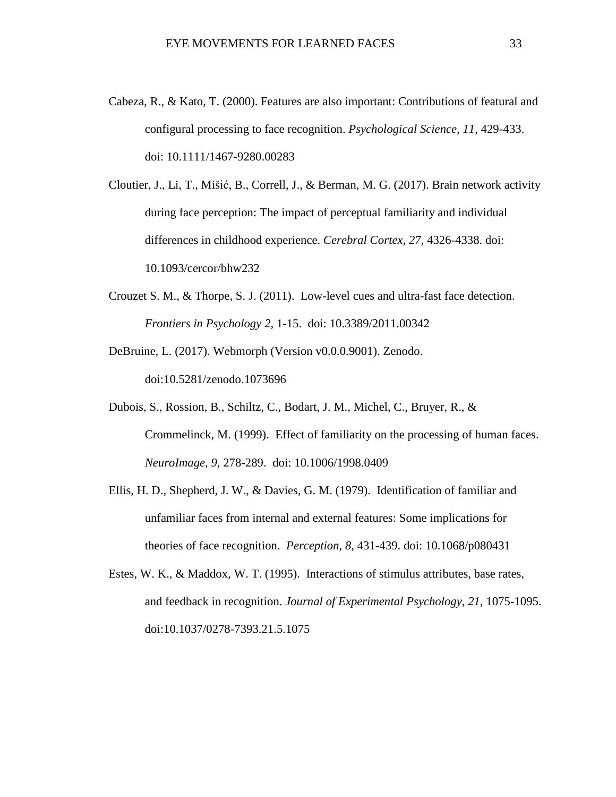Cabeza, R., & Kato, T. (2000). Features are also important: Contributions of featural and configural processing to face recognition. *Psychological Science, 11*, 429-433. doi: 10.1111/1467-9280.00283

Cloutier, J., Li, T., Mišić, B., Correll, J., & Berman, M. G. (2017). Brain network activity during face perception: The impact of perceptual familiarity and individual differences in childhood experience. *Cerebral Cortex, 27,* 4326-4338. doi: 10.1093/cercor/bhw232

- Crouzet S. M., & Thorpe, S. J. (2011). Low-level cues and ultra-fast face detection. *Frontiers in Psychology 2,* 1-15. doi: 10.3389/2011.00342
- DeBruine, L. (2017). Webmorph (Version v0.0.0.9001). Zenodo. doi:10.5281/zenodo.1073696
- Dubois, S., Rossion, B., Schiltz, C., Bodart, J. M., Michel, C., Bruyer, R., & Crommelinck, M. (1999). Effect of familiarity on the processing of human faces. *NeuroImage, 9,* 278-289. doi: 10.1006/1998.0409
- Ellis, H. D., Shepherd, J. W., & Davies, G. M. (1979). Identification of familiar and unfamiliar faces from internal and external features: Some implications for theories of face recognition. *Perception, 8,* 431-439. doi: 10.1068/p080431
- Estes, W. K., & Maddox, W. T. (1995). Interactions of stimulus attributes, base rates, and feedback in recognition. *Journal of Experimental Psychology*, *21*, 1075-1095. doi:10.1037/0278-7393.21.5.1075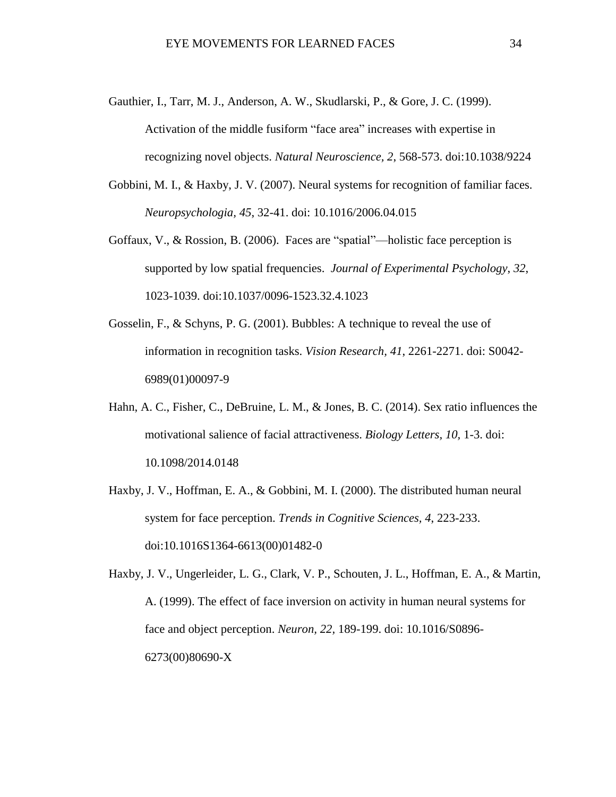- Gauthier, I., Tarr, M. J., Anderson, A. W., Skudlarski, P., & Gore, J. C. (1999). Activation of the middle fusiform "face area" increases with expertise in recognizing novel objects. *Natural Neuroscience, 2*, 568-573. doi[:10.1038/9224](http://dx.doi.org.ezproxy.humboldt.edu/10.1038/9224)
- Gobbini, M. I., & Haxby, J. V. (2007). Neural systems for recognition of familiar faces. *Neuropsychologia, 45*, 32-41. doi: 10.1016/2006.04.015
- Goffaux, V., & Rossion, B. (2006). Faces are "spatial"—holistic face perception is supported by low spatial frequencies. *Journal of Experimental Psychology*, *32*, 1023-1039. doi:10.1037/0096-1523.32.4.1023
- Gosselin, F., & Schyns, P. G. (2001). Bubbles: A technique to reveal the use of information in recognition tasks. *Vision Research, 41*, 2261-2271. doi: S0042- 6989(01)00097-9
- Hahn, A. C., Fisher, C., DeBruine, L. M., & Jones, B. C. (2014). Sex ratio influences the motivational salience of facial attractiveness. *Biology Letters, 10,* 1-3. doi: 10.1098/2014.0148
- Haxby, J. V., Hoffman, E. A., & Gobbini, M. I. (2000). The distributed human neural system for face perception. *Trends in Cognitive Sciences, 4*, 223-233. doi:10.1016S1364-6613(00)01482-0
- Haxby, J. V., Ungerleider, L. G., Clark, V. P., Schouten, J. L., Hoffman, E. A., & Martin, A. (1999). The effect of face inversion on activity in human neural systems for face and object perception. *Neuron, 22,* 189-199. doi: 10.1016/S0896- 6273(00)80690-X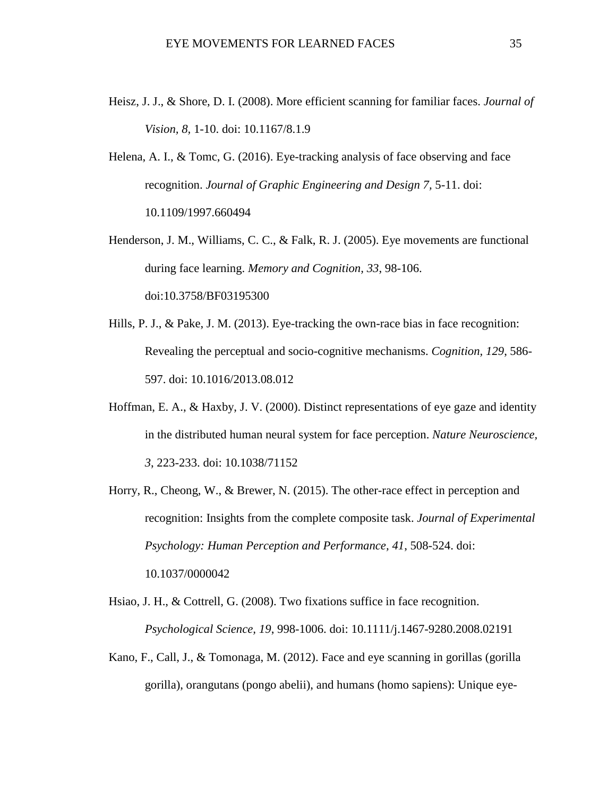- Heisz, J. J., & Shore, D. I. (2008). More efficient scanning for familiar faces. *Journal of Vision, 8,* 1-10. doi: 10.1167/8.1.9
- Helena, A. I., & Tomc, G. (2016). Eye-tracking analysis of face observing and face recognition. *Journal of Graphic Engineering and Design 7,* 5-11. doi: 10.1109/1997.660494
- Henderson, J. M., Williams, C. C., & Falk, R. J. (2005). Eye movements are functional during face learning. *Memory and Cognition, 33*, 98-106. doi:10.3758/BF03195300
- Hills, P. J., & Pake, J. M. (2013). Eye-tracking the own-race bias in face recognition: Revealing the perceptual and socio-cognitive mechanisms. *Cognition, 129*, 586- 597. doi: 10.1016/2013.08.012
- Hoffman, E. A., & Haxby, J. V. (2000). Distinct representations of eye gaze and identity in the distributed human neural system for face perception. *Nature Neuroscience, 3*, 223-233. doi: [10.1038/71152](http://dx.doi.org.ezproxy.humboldt.edu/10.1038/71152)
- Horry, R., Cheong, W., & Brewer, N. (2015). The other-race effect in perception and recognition: Insights from the complete composite task. *Journal of Experimental Psychology: Human Perception and Performance, 41*, 508-524. doi: 10.1037/0000042
- Hsiao, J. H., & Cottrell, G. (2008). Two fixations suffice in face recognition. *Psychological Science, 19*, 998-1006. doi: 10.1111/j.1467-9280.2008.02191
- Kano, F., Call, J., & Tomonaga, M. (2012). Face and eye scanning in gorillas (gorilla gorilla), orangutans (pongo abelii), and humans (homo sapiens): Unique eye-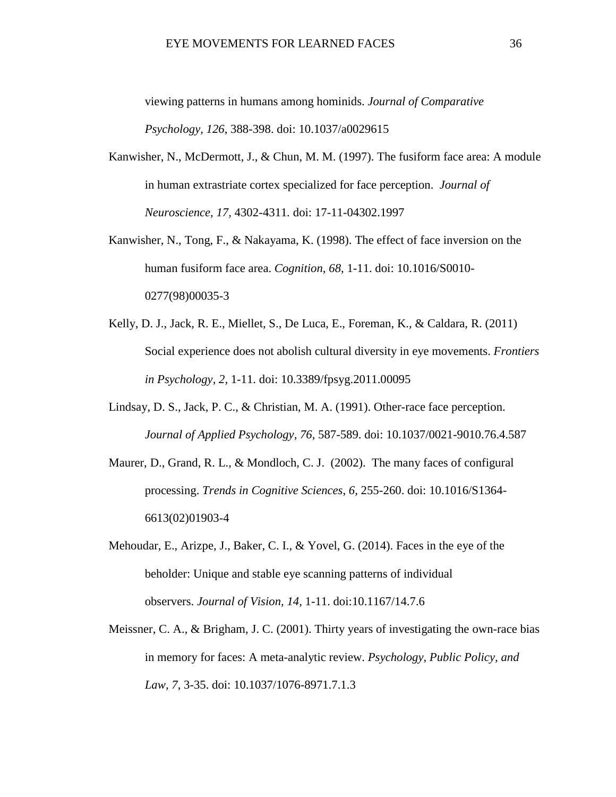viewing patterns in humans among hominids. *Journal of Comparative Psychology, 126*, 388-398. doi: 10.1037/a0029615

- Kanwisher, N., McDermott, J., & Chun, M. M. (1997). The fusiform face area: A module in human extrastriate cortex specialized for face perception. *Journal of Neuroscience, 17,* 4302-4311*.* doi: 17-11-04302.1997
- Kanwisher, N., Tong, F., & Nakayama, K. (1998). The effect of face inversion on the human fusiform face area. *Cognition, 68*, 1-11. doi: [10.1016/S0010-](http://dx.doi.org.ezproxy.humboldt.edu/10.1016/S0010-0277(98)00035-3) [0277\(98\)00035-3](http://dx.doi.org.ezproxy.humboldt.edu/10.1016/S0010-0277(98)00035-3)
- Kelly, D. J., Jack, R. E., Miellet, S., De Luca, E., Foreman, K., & Caldara, R. (2011) Social experience does not abolish cultural diversity in eye movements. *Frontiers in Psychology, 2,* 1-11. doi: 10.3389/fpsyg.2011.00095
- Lindsay, D. S., Jack, P. C., & Christian, M. A. (1991). Other-race face perception. *Journal of Applied Psychology, 76*, 587-589. doi: 10.1037/0021-9010.76.4.587
- Maurer, D., Grand, R. L., & Mondloch, C. J. (2002). The many faces of configural processing. *Trends in Cognitive Sciences*, *6,* 255-260. doi: 10.1016/S1364- 6613(02)01903-4
- Mehoudar, E., Arizpe, J., Baker, C. I., & Yovel, G. (2014). Faces in the eye of the beholder: Unique and stable eye scanning patterns of individual observers. *Journal of Vision, 14,* 1-11. doi:10.1167/14.7.6
- Meissner, C. A., & Brigham, J. C. (2001). Thirty years of investigating the own-race bias in memory for faces: A meta-analytic review. *Psychology, Public Policy, and Law, 7*, 3-35. doi: 10.1037/1076-8971.7.1.3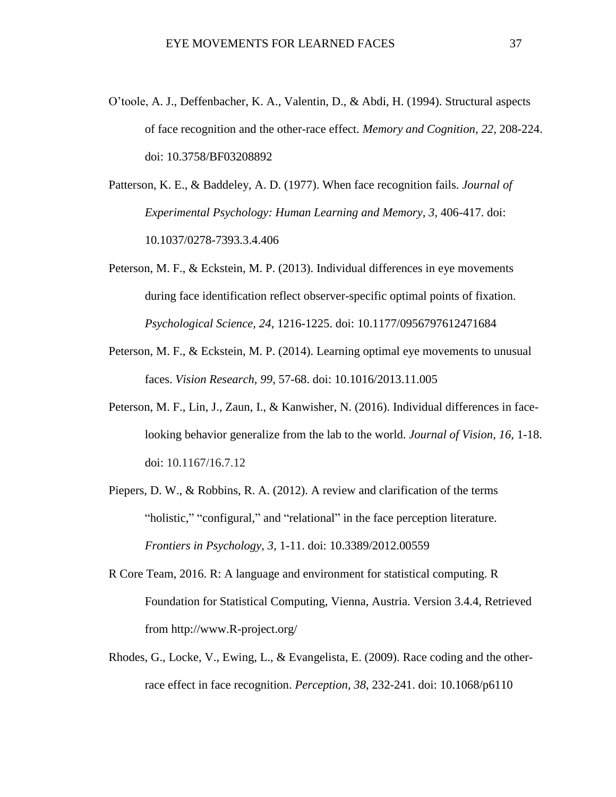O'toole, A. J., Deffenbacher, K. A., Valentin, D., & Abdi, H. (1994). Structural aspects of face recognition and the other-race effect. *Memory and Cognition, 22*, 208-224. doi: 10.3758/BF03208892

Patterson, K. E., & Baddeley, A. D. (1977). When face recognition fails. *Journal of Experimental Psychology: Human Learning and Memory, 3*, 406-417. doi: 10.1037/0278-7393.3.4.406

- Peterson, M. F., & Eckstein, M. P. (2013). Individual differences in eye movements during face identification reflect observer-specific optimal points of fixation. *Psychological Science, 24*, 1216-1225. doi: 10.1177/0956797612471684
- Peterson, M. F., & Eckstein, M. P. (2014). Learning optimal eye movements to unusual faces. *Vision Research, 99*, 57-68. doi: 10.1016/2013.11.005
- Peterson, M. F., Lin, J., Zaun, I., & Kanwisher, N. (2016). Individual differences in facelooking behavior generalize from the lab to the world. *Journal of Vision, 16,* 1-18. doi: 10.1167/16.7.12
- Piepers, D. W., & Robbins, R. A. (2012). A review and clarification of the terms "holistic," "configural," and "relational" in the face perception literature. *Frontiers in Psychology, 3*, 1-11. doi: 10.3389/2012.00559
- R Core Team, 2016. R: A language and environment for statistical computing. R Foundation for Statistical Computing, Vienna, Austria. Version 3.4.4, Retrieved from http://www.R-project.org/
- Rhodes, G., Locke, V., Ewing, L., & Evangelista, E. (2009). Race coding and the otherrace effect in face recognition. *Perception, 38*, 232-241. doi: 10.1068/p6110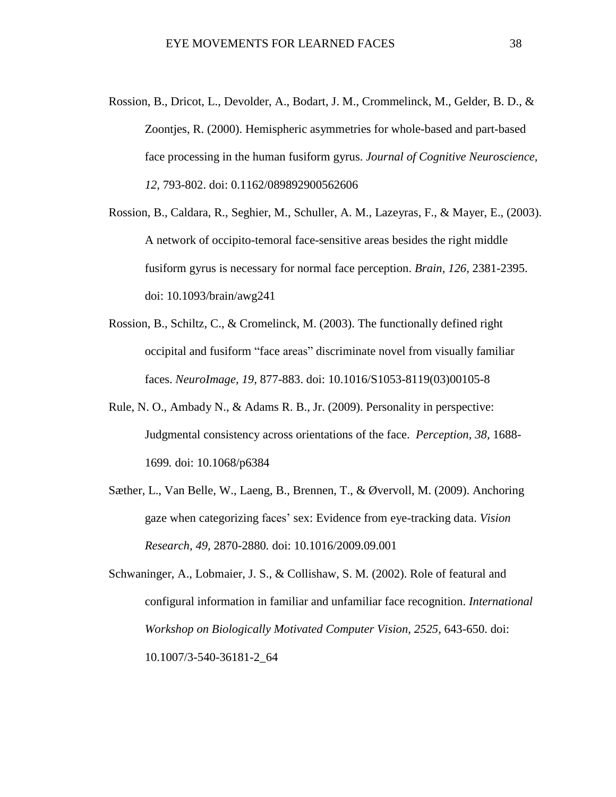- Rossion, B., Dricot, L., Devolder, A., Bodart, J. M., Crommelinck, M., Gelder, B. D., & Zoontjes, R. (2000). Hemispheric asymmetries for whole-based and part-based face processing in the human fusiform gyrus. *Journal of Cognitive Neuroscience, 12,* 793-802. doi: 0.1162/089892900562606
- Rossion, B., Caldara, R., Seghier, M., Schuller, A. M., Lazeyras, F., & Mayer, E., (2003). A network of occipito-temoral face-sensitive areas besides the right middle fusiform gyrus is necessary for normal face perception. *Brain, 126,* 2381-2395. doi: 10.1093/brain/awg241
- Rossion, B., Schiltz, C., & Cromelinck, M. (2003). The functionally defined right occipital and fusiform "face areas" discriminate novel from visually familiar faces. *NeuroImage, 19,* 877-883. doi: 10.1016/S1053-8119(03)00105-8
- Rule, N. O., Ambady N., & Adams R. B., Jr. (2009). Personality in perspective: Judgmental consistency across orientations of the face. *Perception, 38,* 1688- 1699*.* doi: 10.1068/p6384
- Sæther, L., Van Belle, W., Laeng, B., Brennen, T., & Øvervoll, M. (2009). Anchoring gaze when categorizing faces' sex: Evidence from eye-tracking data. *Vision Research, 49,* 2870-2880*.* doi: 10.1016/2009.09.001

Schwaninger, A., Lobmaier, J. S., & Collishaw, S. M. (2002). Role of featural and configural information in familiar and unfamiliar face recognition. *International Workshop on Biologically Motivated Computer Vision, 2525,* 643-650. doi: 10.1007/3-540-36181-2\_64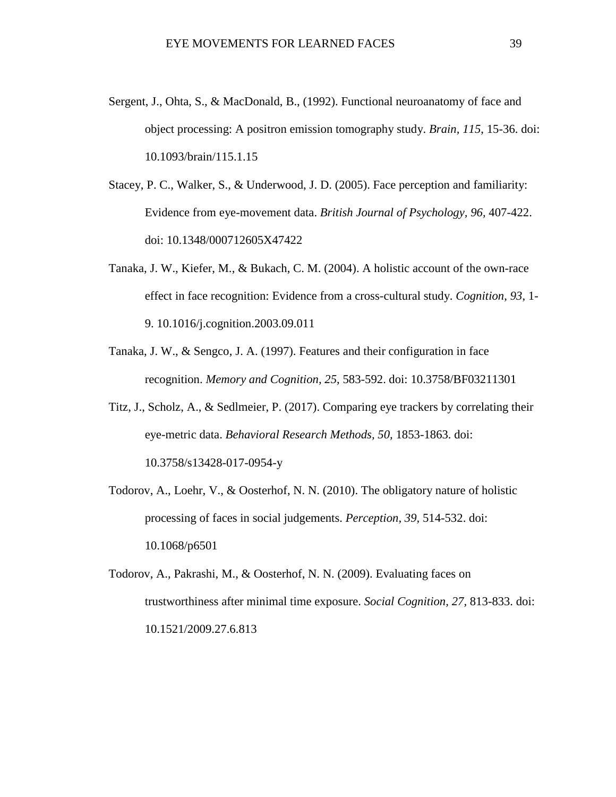- Sergent, J., Ohta, S., & MacDonald, B., (1992). Functional neuroanatomy of face and object processing: A positron emission tomography study. *Brain, 115*, 15-36. doi: 10.1093/brain/115.1.15
- Stacey, P. C., Walker, S., & Underwood, J. D. (2005). Face perception and familiarity: Evidence from eye-movement data. *British Journal of Psychology, 96,* 407-422. doi: 10.1348/000712605X47422
- Tanaka, J. W., Kiefer, M., & Bukach, C. M. (2004). A holistic account of the own-race effect in face recognition: Evidence from a cross-cultural study. *Cognition, 93*, 1- 9. 10.1016/j.cognition.2003.09.011
- Tanaka, J. W., & Sengco, J. A. (1997). Features and their configuration in face recognition. *Memory and Cognition, 25*, 583-592. doi: 10.3758/BF03211301
- Titz, J., Scholz, A., & Sedlmeier, P. (2017). Comparing eye trackers by correlating their eye-metric data. *Behavioral Research Methods, 50,* 1853-1863. doi: 10.3758/s13428-017-0954-y
- Todorov, A., Loehr, V., & Oosterhof, N. N. (2010). The obligatory nature of holistic processing of faces in social judgements. *Perception, 39,* 514-532. doi: 10.1068/p6501
- Todorov, A., Pakrashi, M., & Oosterhof, N. N. (2009). Evaluating faces on trustworthiness after minimal time exposure. *Social Cognition, 27,* 813-833. doi: 10.1521/2009.27.6.813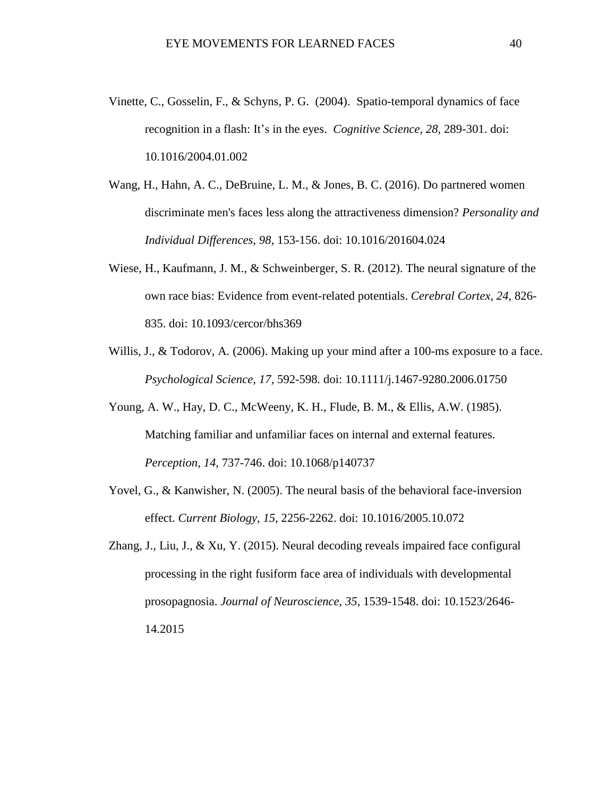- Vinette, C., Gosselin, F., & Schyns, P. G. (2004). Spatio-temporal dynamics of face recognition in a flash: It's in the eyes. *Cognitive Science, 28,* 289-301. doi: 10.1016/2004.01.002
- Wang, H., Hahn, A. C., DeBruine, L. M., & Jones, B. C. (2016). Do partnered women discriminate men's faces less along the attractiveness dimension? *Personality and Individual Differences, 98,* 153-156. doi: 10.1016/201604.024
- Wiese, H., Kaufmann, J. M., & Schweinberger, S. R. (2012). The neural signature of the own race bias: Evidence from event-related potentials. *Cerebral Cortex, 24*, 826- 835. doi: 10.1093/cercor/bhs369
- Willis, J., & Todorov, A. (2006). Making up your mind after a 100-ms exposure to a face. *Psychological Science, 17,* 592-598*.* doi: 10.1111/j.1467-9280.2006.01750
- Young, A. W., Hay, D. C., McWeeny, K. H., Flude, B. M., & Ellis, A.W. (1985). Matching familiar and unfamiliar faces on internal and external features. *Perception*, *14*, 737-746. doi: 10.1068/p140737
- Yovel, G., & Kanwisher, N. (2005). The neural basis of the behavioral face-inversion effect. *Current Biology, 15*, 2256-2262. doi: 10.1016/2005.10.072
- Zhang, J., Liu, J., & Xu, Y. (2015). Neural decoding reveals impaired face configural processing in the right fusiform face area of individuals with developmental prosopagnosia. *Journal of Neuroscience, 35*, 1539-1548. doi: 10.1523/2646- 14.2015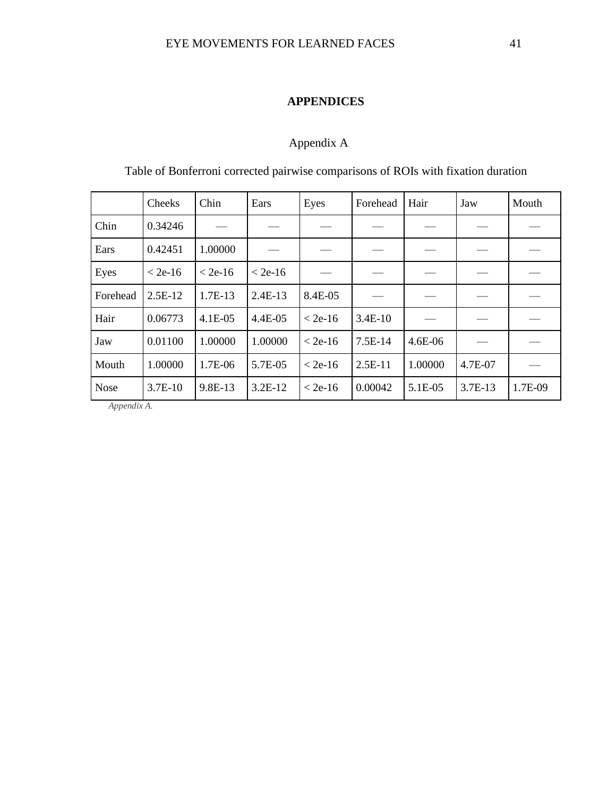# **APPENDICES**

# Appendix A

<span id="page-47-0"></span>Table of Bonferroni corrected pairwise comparisons of ROIs with fixation duration

|             | Cheeks    | Chin      | Ears      | Eyes      | Forehead  | Hair    | Jaw     | Mouth   |
|-------------|-----------|-----------|-----------|-----------|-----------|---------|---------|---------|
| Chin        | 0.34246   |           |           |           |           |         |         |         |
| Ears        | 0.42451   | 1.00000   |           |           |           |         |         |         |
| Eyes        | $< 2e-16$ | $< 2e-16$ | $< 2e-16$ |           |           |         |         |         |
| Forehead    | $2.5E-12$ | 1.7E-13   | $2.4E-13$ | 8.4E-05   |           |         |         |         |
| Hair        | 0.06773   | $4.1E-05$ | 4.4E-05   | $< 2e-16$ | $3.4E-10$ |         |         |         |
| Jaw         | 0.01100   | 1.00000   | 1.00000   | $< 2e-16$ | 7.5E-14   | 4.6E-06 |         |         |
| Mouth       | 1.00000   | 1.7E-06   | 5.7E-05   | $< 2e-16$ | $2.5E-11$ | 1.00000 | 4.7E-07 |         |
| <b>Nose</b> | 3.7E-10   | 9.8E-13   | $3.2E-12$ | $< 2e-16$ | 0.00042   | 5.1E-05 | 3.7E-13 | 1.7E-09 |

<span id="page-47-1"></span>*Appendix A.*